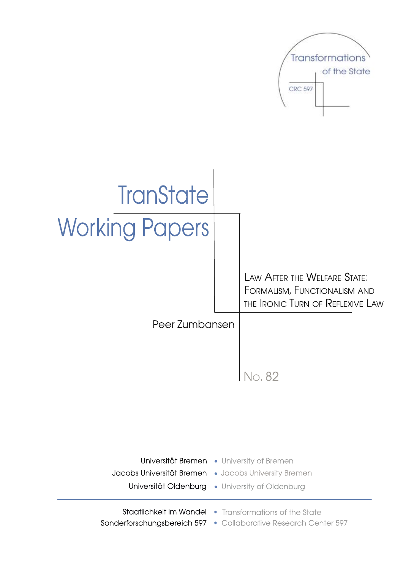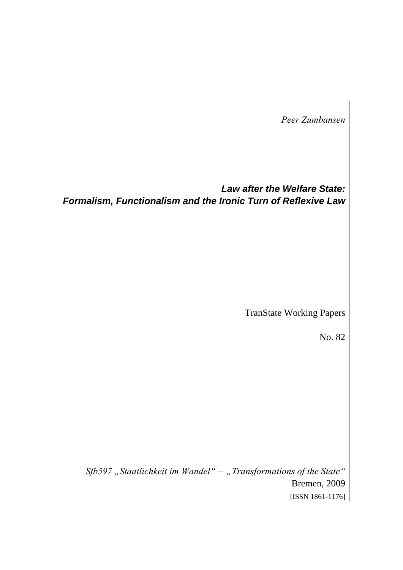*Peer Zumbansen* 

*Law after the Welfare State: Formalism, Functionalism and the Ironic Turn of Reflexive Law* 

TranState Working Papers

No. 82

*Sfb597 "Staatlichkeit im Wandel" − "Transformations of the State"*  Bremen, 2009 [ISSN 1861-1176]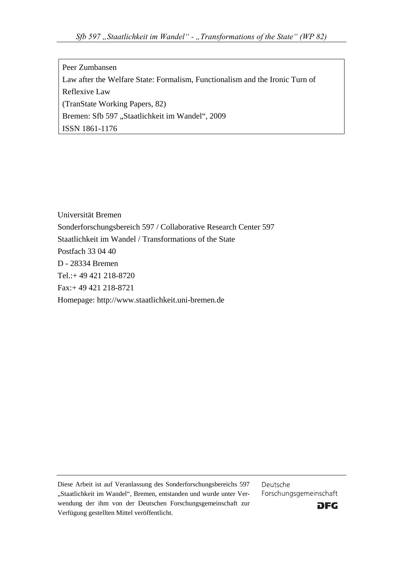Peer Zumbansen Law after the Welfare State: Formalism, Functionalism and the Ironic Turn of Reflexive Law (TranState Working Papers, 82) Bremen: Sfb 597 "Staatlichkeit im Wandel", 2009 ISSN 1861-1176

Universität Bremen Sonderforschungsbereich 597 / Collaborative Research Center 597 Staatlichkeit im Wandel / Transformations of the State Postfach 33 04 40 D - 28334 Bremen Tel.:+ 49 421 218-8720 Fax:+ 49 421 218-8721 Homepage: http://www.staatlichkeit.uni-bremen.de

Diese Arbeit ist auf Veranlassung des Sonderforschungsbereichs 597 "Staatlichkeit im Wandel", Bremen, entstanden und wurde unter Verwendung der ihm von der Deutschen Forschungsgemeinschaft zur Verfügung gestellten Mittel veröffentlicht.

Deutsche Forschungsgemeinschaft

**DFG**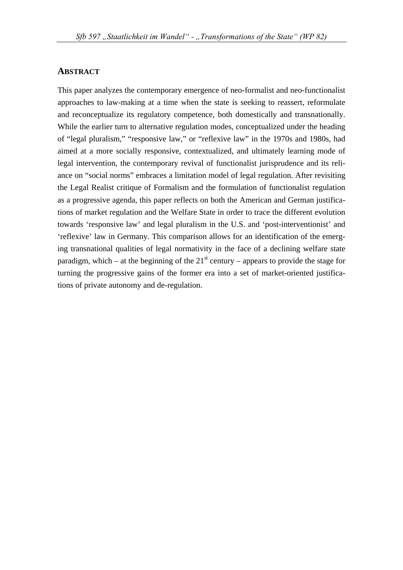#### **ABSTRACT**

This paper analyzes the contemporary emergence of neo-formalist and neo-functionalist approaches to law-making at a time when the state is seeking to reassert, reformulate and reconceptualize its regulatory competence, both domestically and transnationally. While the earlier turn to alternative regulation modes, conceptualized under the heading of "legal pluralism," "responsive law," or "reflexive law" in the 1970s and 1980s, had aimed at a more socially responsive, contextualized, and ultimately learning mode of legal intervention, the contemporary revival of functionalist jurisprudence and its reliance on "social norms" embraces a limitation model of legal regulation. After revisiting the Legal Realist critique of Formalism and the formulation of functionalist regulation as a progressive agenda, this paper reflects on both the American and German justifications of market regulation and the Welfare State in order to trace the different evolution towards 'responsive law' and legal pluralism in the U.S. and 'post-interventionist' and 'reflexive' law in Germany. This comparison allows for an identification of the emerging transnational qualities of legal normativity in the face of a declining welfare state paradigm, which – at the beginning of the  $21<sup>st</sup>$  century – appears to provide the stage for turning the progressive gains of the former era into a set of market-oriented justifications of private autonomy and de-regulation.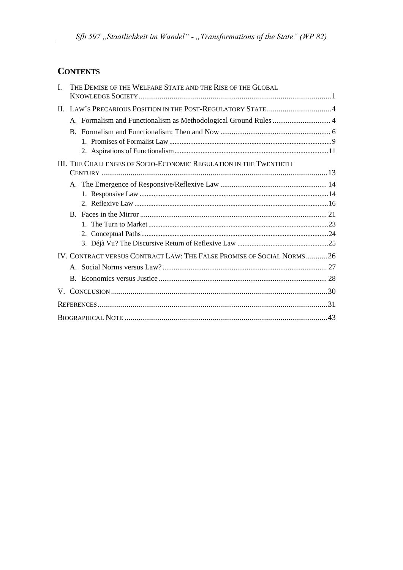# **CONTENTS**

| $\mathbf{I}$ | THE DEMISE OF THE WELFARE STATE AND THE RISE OF THE GLOBAL            |  |
|--------------|-----------------------------------------------------------------------|--|
|              |                                                                       |  |
|              | A. Formalism and Functionalism as Methodological Ground Rules  4      |  |
|              |                                                                       |  |
|              |                                                                       |  |
|              |                                                                       |  |
|              | III. THE CHALLENGES OF SOCIO-ECONOMIC REGULATION IN THE TWENTIETH     |  |
|              |                                                                       |  |
|              |                                                                       |  |
|              |                                                                       |  |
|              |                                                                       |  |
|              |                                                                       |  |
|              |                                                                       |  |
|              |                                                                       |  |
|              |                                                                       |  |
|              | IV. CONTRACT VERSUS CONTRACT LAW: THE FALSE PROMISE OF SOCIAL NORMS26 |  |
|              |                                                                       |  |
|              |                                                                       |  |
|              |                                                                       |  |
|              |                                                                       |  |
|              |                                                                       |  |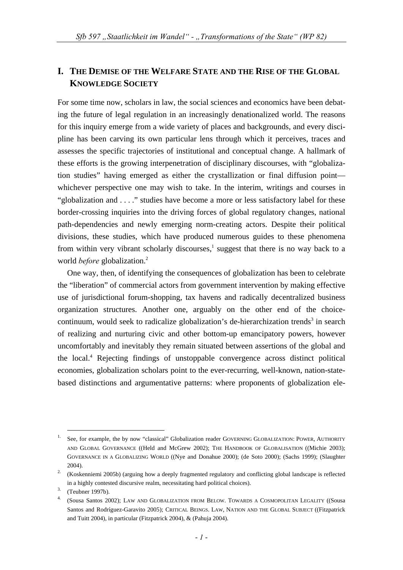## **I. THE DEMISE OF THE WELFARE STATE AND THE RISE OF THE GLOBAL KNOWLEDGE SOCIETY**

For some time now, scholars in law, the social sciences and economics have been debating the future of legal regulation in an increasingly denationalized world. The reasons for this inquiry emerge from a wide variety of places and backgrounds, and every discipline has been carving its own particular lens through which it perceives, traces and assesses the specific trajectories of institutional and conceptual change. A hallmark of these efforts is the growing interpenetration of disciplinary discourses, with "globalization studies" having emerged as either the crystallization or final diffusion point whichever perspective one may wish to take. In the interim, writings and courses in "globalization and . . . ." studies have become a more or less satisfactory label for these border-crossing inquiries into the driving forces of global regulatory changes, national path-dependencies and newly emerging norm-creating actors. Despite their political divisions, these studies, which have produced numerous guides to these phenomena from within very vibrant scholarly discourses, $<sup>1</sup>$  suggest that there is no way back to a</sup> world *before* globalization.<sup>2</sup>

One way, then, of identifying the consequences of globalization has been to celebrate the "liberation" of commercial actors from government intervention by making effective use of jurisdictional forum-shopping, tax havens and radically decentralized business organization structures. Another one, arguably on the other end of the choicecontinuum, would seek to radicalize globalization's de-hierarchization trends<sup>3</sup> in search of realizing and nurturing civic and other bottom-up emancipatory powers, however uncomfortably and inevitably they remain situated between assertions of the global and the local.4 Rejecting findings of unstoppable convergence across distinct political economies, globalization scholars point to the ever-recurring, well-known, nation-statebased distinctions and argumentative patterns: where proponents of globalization ele-

 <sup>1.</sup> See, for example, the by now "classical" Globalization reader GOVERNING GLOBALIZATION: POWER, AUTHORITY AND GLOBAL GOVERNANCE ((Held and McGrew 2002); THE HANDBOOK OF GLOBALISATION ((Michie 2003); GOVERNANCE IN A GLOBALIZING WORLD ((Nye and Donahue 2000); (de Soto 2000); (Sachs 1999); (Slaughter 2004).<br><sup>2.</sup> (Koskenniemi 2005b) (arguing how a deeply fragmented regulatory and conflicting global landscape is reflected

in a highly contested discursive realm, necessitating hard political choices).<br>
<sup>3.</sup> (Teubner 1997b).<br>
<sup>4.</sup> (Sousa Santos 2002); LAW AND GLOBALIZATION FROM BELOW. TOWARDS A COSMOPOLITAN LEGALITY ((Sousa Santos and Rodríguez-Garavito 2005); CRITICAL BEINGS. LAW, NATION AND THE GLOBAL SUBJECT ((Fitzpatrick and Tuitt 2004), in particular (Fitzpatrick 2004), & (Pahuja 2004).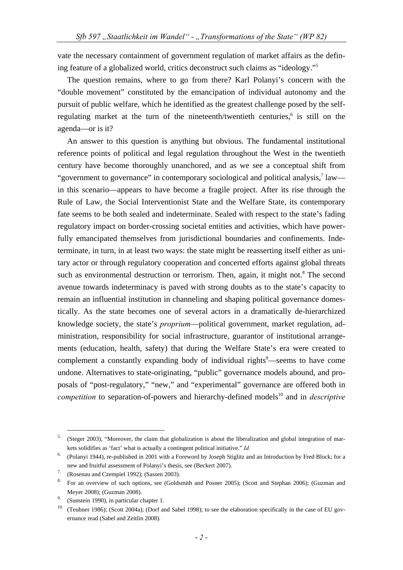vate the necessary containment of government regulation of market affairs as the defining feature of a globalized world, critics deconstruct such claims as "ideology."5

The question remains, where to go from there? Karl Polanyi's concern with the "double movement" constituted by the emancipation of individual autonomy and the pursuit of public welfare, which he identified as the greatest challenge posed by the selfregulating market at the turn of the nineteenth/twentieth centuries,<sup>6</sup> is still on the agenda—or is it?

An answer to this question is anything but obvious. The fundamental institutional reference points of political and legal regulation throughout the West in the twentieth century have become thoroughly unanchored, and as we see a conceptual shift from "government to governance" in contemporary sociological and political analysis, $7$  law in this scenario—appears to have become a fragile project. After its rise through the Rule of Law, the Social Interventionist State and the Welfare State, its contemporary fate seems to be both sealed and indeterminate. Sealed with respect to the state's fading regulatory impact on border-crossing societal entities and activities, which have powerfully emancipated themselves from jurisdictional boundaries and confinements. Indeterminate, in turn, in at least two ways: the state might be reasserting itself either as unitary actor or through regulatory cooperation and concerted efforts against global threats such as environmental destruction or terrorism. Then, again, it might not.<sup>8</sup> The second avenue towards indeterminacy is paved with strong doubts as to the state's capacity to remain an influential institution in channeling and shaping political governance domestically. As the state becomes one of several actors in a dramatically de-hierarchized knowledge society, the state's *proprium*—political government, market regulation, administration, responsibility for social infrastructure, guarantor of institutional arrangements (education, health, safety) that during the Welfare State's era were created to complement a constantly expanding body of individual rights<sup>9</sup>—seems to have come undone. Alternatives to state-originating, "public" governance models abound, and proposals of "post-regulatory," "new," and "experimental" governance are offered both in *competition* to separation-of-powers and hierarchy-defined models<sup>10</sup> and in *descriptive* 

<sup>&</sup>lt;sup>5.</sup> (Steger 2003), "Moreover, the claim that globalization is about the liberalization and global integration of markets solidifies as 'fact' what is actually a contingent political initiative." *Id.* 

<sup>6. (</sup>Polanyi 1944), re-published in 2001 with a Foreword by Joseph Stiglitz and an Introduction by Fred Block; for a

new and fruitful assessment of Polanyi's thesis, see (Beckert 2007).<br>
<sup>7.</sup> (Rosenau and Czempiel 1992); (Sassen 2003).<br>
<sup>8.</sup> For an overview of such options, see (Goldsmith and Posner 2005); (Scott and Stephan 2006); (Guzm

Meyer 2008); (Guzman 2008).<br>
9. (Sunstein 1990), in particular chapter 1.<br>
<sup>10.</sup> (Teubner 1986); (Scott 2004a); (Dorf and Sabel 1998); to see the elaboration specifically in the case of EU governance read (Sabel and Zeitlin 2008).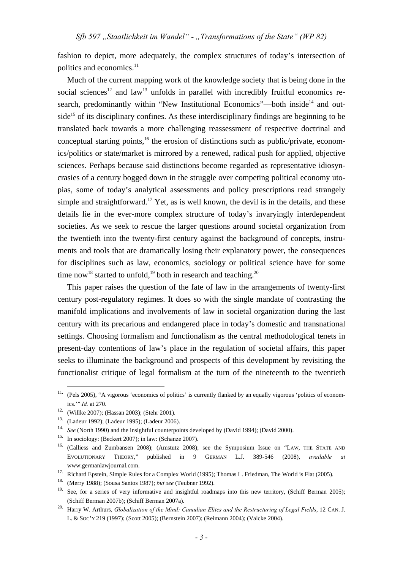fashion to depict, more adequately, the complex structures of today's intersection of politics and economics.<sup>11</sup>

Much of the current mapping work of the knowledge society that is being done in the social sciences<sup>12</sup> and law<sup>13</sup> unfolds in parallel with incredibly fruitful economics research, predominantly within "New Institutional Economics"—both inside<sup>14</sup> and outside<sup>15</sup> of its disciplinary confines. As these interdisciplinary findings are beginning to be translated back towards a more challenging reassessment of respective doctrinal and conceptual starting points, $16$  the erosion of distinctions such as public/private, economics/politics or state/market is mirrored by a renewed, radical push for applied, objective sciences. Perhaps because said distinctions become regarded as representative idiosyncrasies of a century bogged down in the struggle over competing political economy utopias, some of today's analytical assessments and policy prescriptions read strangely simple and straightforward.<sup>17</sup> Yet, as is well known, the devil is in the details, and these details lie in the ever-more complex structure of today's invaryingly interdependent societies. As we seek to rescue the larger questions around societal organization from the twentieth into the twenty-first century against the background of concepts, instruments and tools that are dramatically losing their explanatory power, the consequences for disciplines such as law, economics, sociology or political science have for some time now<sup>18</sup> started to unfold,<sup>19</sup> both in research and teaching.<sup>20</sup>

This paper raises the question of the fate of law in the arrangements of twenty-first century post-regulatory regimes. It does so with the single mandate of contrasting the manifold implications and involvements of law in societal organization during the last century with its precarious and endangered place in today's domestic and transnational settings. Choosing formalism and functionalism as the central methodological tenets in present-day contentions of law's place in the regulation of societal affairs, this paper seeks to illuminate the background and prospects of this development by revisiting the functionalist critique of legal formalism at the turn of the nineteenth to the twentieth

<sup>&</sup>lt;sup>11.</sup> (Pels 2005), "A vigorous 'economics of politics' is currently flanked by an equally vigorous 'politics of economics.'" *Id.* at 270.<br><sup>12.</sup> (Willke 2007); (Hassan 2003); (Stehr 2001).<br><sup>13.</sup> (Ladeur 1992); (Ladeur 1995); (Ladeur 2006).

<sup>&</sup>lt;sup>14.</sup> See (North 1990) and the insightful counterpoints developed by (David 1994); (David 2000).<br><sup>15.</sup> In sociology: (Beckert 2007); in law: (Schanze 2007).

<sup>&</sup>lt;sup>16.</sup> (Calliess and Zumbansen 2008); (Amstutz 2008); see the Symposium Issue on "LAW, THE STATE AND EVOLUTIONARY THEORY," published in 9 GERMAN L.J. 389-546 (2008), *available at* www.germanlawjournal.com. 17. Richard Epstein, Simple Rules for a Complex World (1995); Thomas L. Friedman, The World is Flat (2005). 18. (Merry 1988); (Sousa Santos 1987); *but see* (Teubner 1992).

<sup>&</sup>lt;sup>19.</sup> See, for a series of very informative and insightful roadmaps into this new territory, (Schiff Berman 2005); (Schiff Berman 2007b); (Schiff Berman 2007a). 20. Harry W. Arthurs, *Globalization of the Mind: Canadian Elites and the Restructuring of Legal Fields*, 12 CAN. J.

L. & SOC'Y 219 (1997); (Scott 2005); (Bernstein 2007); (Reimann 2004); (Valcke 2004).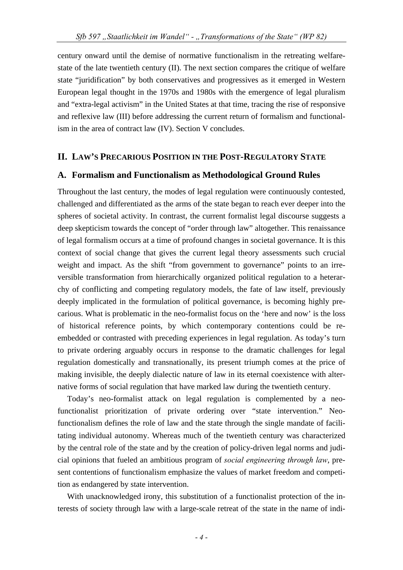century onward until the demise of normative functionalism in the retreating welfarestate of the late twentieth century (II). The next section compares the critique of welfare state "juridification" by both conservatives and progressives as it emerged in Western European legal thought in the 1970s and 1980s with the emergence of legal pluralism and "extra-legal activism" in the United States at that time, tracing the rise of responsive and reflexive law (III) before addressing the current return of formalism and functionalism in the area of contract law (IV). Section V concludes.

## **II. LAW'S PRECARIOUS POSITION IN THE POST-REGULATORY STATE**

#### **A. Formalism and Functionalism as Methodological Ground Rules**

Throughout the last century, the modes of legal regulation were continuously contested, challenged and differentiated as the arms of the state began to reach ever deeper into the spheres of societal activity. In contrast, the current formalist legal discourse suggests a deep skepticism towards the concept of "order through law" altogether. This renaissance of legal formalism occurs at a time of profound changes in societal governance. It is this context of social change that gives the current legal theory assessments such crucial weight and impact. As the shift "from government to governance" points to an irreversible transformation from hierarchically organized political regulation to a heterarchy of conflicting and competing regulatory models, the fate of law itself, previously deeply implicated in the formulation of political governance, is becoming highly precarious. What is problematic in the neo-formalist focus on the 'here and now' is the loss of historical reference points, by which contemporary contentions could be reembedded or contrasted with preceding experiences in legal regulation. As today's turn to private ordering arguably occurs in response to the dramatic challenges for legal regulation domestically and transnationally, its present triumph comes at the price of making invisible, the deeply dialectic nature of law in its eternal coexistence with alternative forms of social regulation that have marked law during the twentieth century.

Today's neo-formalist attack on legal regulation is complemented by a neofunctionalist prioritization of private ordering over "state intervention." Neofunctionalism defines the role of law and the state through the single mandate of facilitating individual autonomy. Whereas much of the twentieth century was characterized by the central role of the state and by the creation of policy-driven legal norms and judicial opinions that fueled an ambitious program of *social engineering through law*, present contentions of functionalism emphasize the values of market freedom and competition as endangered by state intervention.

With unacknowledged irony, this substitution of a functionalist protection of the interests of society through law with a large-scale retreat of the state in the name of indi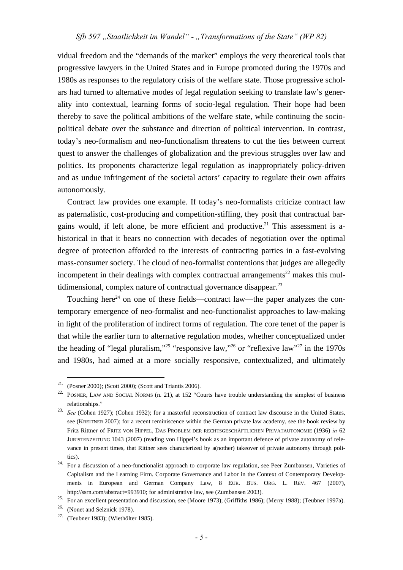vidual freedom and the "demands of the market" employs the very theoretical tools that progressive lawyers in the United States and in Europe promoted during the 1970s and 1980s as responses to the regulatory crisis of the welfare state. Those progressive scholars had turned to alternative modes of legal regulation seeking to translate law's generality into contextual, learning forms of socio-legal regulation. Their hope had been thereby to save the political ambitions of the welfare state, while continuing the sociopolitical debate over the substance and direction of political intervention. In contrast, today's neo-formalism and neo-functionalism threatens to cut the ties between current quest to answer the challenges of globalization and the previous struggles over law and politics. Its proponents characterize legal regulation as inappropriately policy-driven and as undue infringement of the societal actors' capacity to regulate their own affairs autonomously.

Contract law provides one example. If today's neo-formalists criticize contract law as paternalistic, cost-producing and competition-stifling, they posit that contractual bargains would, if left alone, be more efficient and productive.<sup>21</sup> This assessment is ahistorical in that it bears no connection with decades of negotiation over the optimal degree of protection afforded to the interests of contracting parties in a fast-evolving mass-consumer society. The cloud of neo-formalist contentions that judges are allegedly incompetent in their dealings with complex contractual arrangements<sup>22</sup> makes this multidimensional, complex nature of contractual governance disappear.<sup>23</sup>

Touching here<sup>24</sup> on one of these fields—contract law—the paper analyzes the contemporary emergence of neo-formalist and neo-functionalist approaches to law-making in light of the proliferation of indirect forms of regulation. The core tenet of the paper is that while the earlier turn to alternative regulation modes, whether conceptualized under the heading of "legal pluralism,"<sup>25</sup> "responsive law,"<sup>26</sup> or "reflexive law"<sup>27</sup> in the 1970s and 1980s, had aimed at a more socially responsive, contextualized, and ultimately

 <sup>21. (</sup>Posner 2000); (Scott 2000); (Scott and Triantis 2006).

<sup>&</sup>lt;sup>22.</sup> POSNER, LAW AND SOCIAL NORMS (n. 21), at 152 "Courts have trouble understanding the simplest of business

relationships." 23. *See* (Cohen 1927); (Cohen 1932); for a masterful reconstruction of contract law discourse in the United States, see (KREITNER 2007); for a recent reminiscence within the German private law academy, see the book review by Fritz Rittner of FRITZ VON HIPPEL, DAS PROBLEM DER RECHTSGESCHÄFTLICHEN PRIVATAUTONOMIE (1936) *in* 62 JURISTENZEITUNG 1043 (2007) (reading von Hippel's book as an important defence of private autonomy of relevance in present times, that Rittner sees characterized by a(nother) takeover of private autonomy through poli-

tics). 24. For a discussion of a neo-functionalist approach to corporate law regulation, see Peer Zumbansen, Varieties of Capitalism and the Learning Firm. Corporate Governance and Labor in the Context of Contemporary Developments in European and German Company Law, 8 EUR. BUS. ORG. L. REV. 467 (2007), http://ssrn.com/abstract=993910; for administrative law, see (Zumbansen 2003).<br>
<sup>25.</sup> For an excellent presentation and discussion, see (Moore 1973); (Griffiths 1986); (Merry 1988); (Teubner 1997a).<br>
<sup>26.</sup> (Nonet and Selzn

<sup>27. (</sup>Teubner 1983); (Wiethölter 1985).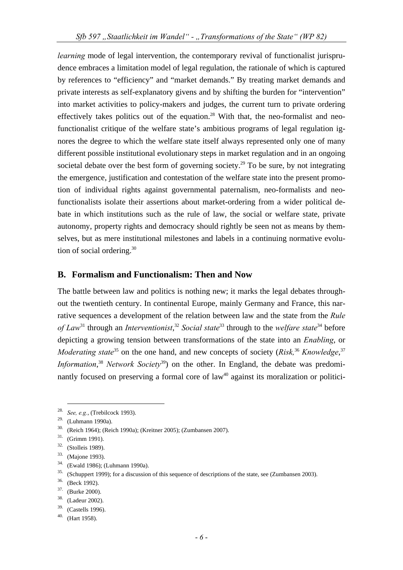*learning* mode of legal intervention, the contemporary revival of functionalist jurisprudence embraces a limitation model of legal regulation, the rationale of which is captured by references to "efficiency" and "market demands." By treating market demands and private interests as self-explanatory givens and by shifting the burden for "intervention" into market activities to policy-makers and judges, the current turn to private ordering effectively takes politics out of the equation.<sup>28</sup> With that, the neo-formalist and neofunctionalist critique of the welfare state's ambitious programs of legal regulation ignores the degree to which the welfare state itself always represented only one of many different possible institutional evolutionary steps in market regulation and in an ongoing societal debate over the best form of governing society.<sup>29</sup> To be sure, by not integrating the emergence, justification and contestation of the welfare state into the present promotion of individual rights against governmental paternalism, neo-formalists and neofunctionalists isolate their assertions about market-ordering from a wider political debate in which institutions such as the rule of law, the social or welfare state, private autonomy, property rights and democracy should rightly be seen not as means by themselves, but as mere institutional milestones and labels in a continuing normative evolution of social ordering.<sup>30</sup>

## **B. Formalism and Functionalism: Then and Now**

The battle between law and politics is nothing new; it marks the legal debates throughout the twentieth century. In continental Europe, mainly Germany and France, this narrative sequences a development of the relation between law and the state from the *Rule of Law*31 through an *Interventionist*, <sup>32</sup> *Social state*33 through to the *welfare state*<sup>34</sup> before depicting a growing tension between transformations of the state into an *Enabling*, or *Moderating state*<sup>35</sup> on the one hand, and new concepts of society (*Risk*,<sup>36</sup> *Knowledge*,<sup>37</sup> *Information*,<sup>38</sup> *Network Society*<sup>39</sup>) on the other. In England, the debate was predominantly focused on preserving a formal core of  $law<sup>40</sup>$  against its moralization or politici-

 <sup>28.</sup> *See, e.g.*, (Trebilcock 1993).

<sup>29. (</sup>Luhmann 1990a).

<sup>30. (</sup>Reich 1964); (Reich 1990a); (Kreitner 2005); (Zumbansen 2007).

<sup>31. (</sup>Grimm 1991).

<sup>32. (</sup>Stolleis 1989).

<sup>33. (</sup>Majone 1993).

<sup>&</sup>lt;sup>34.</sup> (Ewald 1986); (Luhmann 1990a).

<sup>&</sup>lt;sup>35.</sup> (Schuppert 1999); for a discussion of this sequence of descriptions of the state, see (Zumbansen 2003).  $\frac{36.}{18}$  (Beck 1992).

<sup>37. (</sup>Burke 2000).

<sup>38. (</sup>Ladeur 2002).

<sup>39. (</sup>Castells 1996).

 $40.$  (Hart 1958).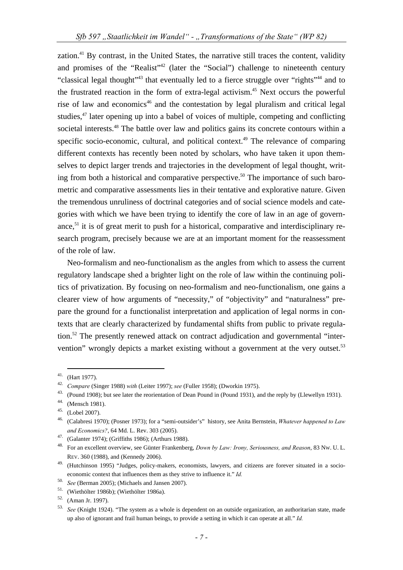zation.<sup>41</sup> By contrast, in the United States, the narrative still traces the content, validity and promises of the "Realist"<sup>42</sup> (later the "Social") challenge to nineteenth century "classical legal thought"<sup>43</sup> that eventually led to a fierce struggle over "rights"<sup>44</sup> and to the frustrated reaction in the form of extra-legal activism.<sup>45</sup> Next occurs the powerful rise of law and economics<sup>46</sup> and the contestation by legal pluralism and critical legal studies,<sup>47</sup> later opening up into a babel of voices of multiple, competing and conflicting societal interests.<sup>48</sup> The battle over law and politics gains its concrete contours within a specific socio-economic, cultural, and political context.<sup>49</sup> The relevance of comparing different contexts has recently been noted by scholars, who have taken it upon themselves to depict larger trends and trajectories in the development of legal thought, writing from both a historical and comparative perspective.<sup>50</sup> The importance of such barometric and comparative assessments lies in their tentative and explorative nature. Given the tremendous unruliness of doctrinal categories and of social science models and categories with which we have been trying to identify the core of law in an age of governance, $51$  it is of great merit to push for a historical, comparative and interdisciplinary research program, precisely because we are at an important moment for the reassessment of the role of law.

Neo-formalism and neo-functionalism as the angles from which to assess the current regulatory landscape shed a brighter light on the role of law within the continuing politics of privatization. By focusing on neo-formalism and neo-functionalism, one gains a clearer view of how arguments of "necessity," of "objectivity" and "naturalness" prepare the ground for a functionalist interpretation and application of legal norms in contexts that are clearly characterized by fundamental shifts from public to private regulation.<sup>52</sup> The presently renewed attack on contract adjudication and governmental "intervention" wrongly depicts a market existing without a government at the very outset.<sup>53</sup>

<sup>&</sup>lt;sup>41.</sup> (Hart 1977).<br><sup>42.</sup> Compare (Singer 1988) with (Leiter 1997); see (Fuller 1958); (Dworkin 1975).

<sup>&</sup>lt;sup>43.</sup> (Pound 1908); but see later the reorientation of Dean Pound in (Pound 1931), and the reply by (Llewellyn 1931).  $^{44}$ . (Mensch 1981).

<sup>45. (</sup>Lobel 2007).

<sup>46. (</sup>Calabresi 1970); (Posner 1973); for a "semi-outsider's" history, see Anita Bernstein, *Whatever happened to Law* 

*and Economics?*, 64 Md. L. Rev. 303 (2005).<br><sup>47.</sup> (Galanter 1974); (Griffiths 1986); (Arthurs 1988).<br><sup>48.</sup> For an excellent overview, see Günter Frankenberg, *Down by Law: Irony, Seriousness, and Reason*, 83 Nw. U. L. REV. 360 (1988), and (Kennedy 2006).

<sup>49. (</sup>Hutchinson 1995) "Judges, policy-makers, economists, lawyers, and citizens are forever situated in a socioeconomic context that influences them as they strive to influence it." *Id.*

<sup>50.</sup> *See* (Berman 2005); (Michaels and Jansen 2007). 51. (Wiethölter 1986b); (Wiethölter 1986a). 52. (Aman Jr. 1997).

<sup>53.</sup> *See* (Knight 1924). "The system as a whole is dependent on an outside organization, an authoritarian state, made up also of ignorant and frail human beings, to provide a setting in which it can operate at all." *Id.*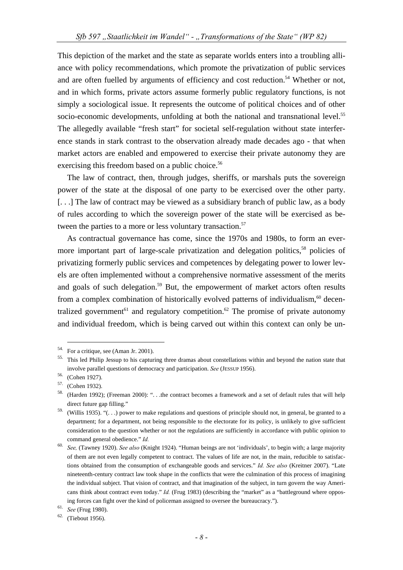This depiction of the market and the state as separate worlds enters into a troubling alliance with policy recommendations, which promote the privatization of public services and are often fuelled by arguments of efficiency and cost reduction.<sup>54</sup> Whether or not, and in which forms, private actors assume formerly public regulatory functions, is not simply a sociological issue. It represents the outcome of political choices and of other socio-economic developments, unfolding at both the national and transnational level.<sup>55</sup> The allegedly available "fresh start" for societal self-regulation without state interference stands in stark contrast to the observation already made decades ago - that when market actors are enabled and empowered to exercise their private autonomy they are exercising this freedom based on a public choice.<sup>56</sup>

The law of contract, then, through judges, sheriffs, or marshals puts the sovereign power of the state at the disposal of one party to be exercised over the other party. [. . .] The law of contract may be viewed as a subsidiary branch of public law, as a body of rules according to which the sovereign power of the state will be exercised as between the parties to a more or less voluntary transaction.<sup>57</sup>

As contractual governance has come, since the 1970s and 1980s, to form an evermore important part of large-scale privatization and delegation politics,<sup>58</sup> policies of privatizing formerly public services and competences by delegating power to lower levels are often implemented without a comprehensive normative assessment of the merits and goals of such delegation.<sup>59</sup> But, the empowerment of market actors often results from a complex combination of historically evolved patterns of individualism, $60$  decentralized government<sup>61</sup> and regulatory competition.<sup>62</sup> The promise of private autonomy and individual freedom, which is being carved out within this context can only be un-

 <sup>54.</sup> For a critique, see (Aman Jr. 2001).

<sup>55.</sup> This led Philip Jessup to his capturing three dramas about constellations within and beyond the nation state that involve parallel questions of democracy and participation. *See* (JESSUP 1956). 56. (Cohen 1927).

<sup>57. (</sup>Cohen 1932).

<sup>58. (</sup>Harden 1992); (Freeman 2000): ". . .the contract becomes a framework and a set of default rules that will help direct future gap filling."

<sup>59. (</sup>Willis 1935). "(. . .) power to make regulations and questions of principle should not, in general, be granted to a department; for a department, not being responsible to the electorate for its policy, is unlikely to give sufficient consideration to the question whether or not the regulations are sufficiently in accordance with public opinion to command general obedience." *Id.*

<sup>60.</sup> *See,* (Tawney 1920). *See also* (Knight 1924). "Human beings are not 'individuals', to begin with; a large majority of them are not even legally competent to contract. The values of life are not, in the main, reducible to satisfactions obtained from the consumption of exchangeable goods and services." *Id. See also* (Kreitner 2007). "Late nineteenth-century contract law took shape in the conflicts that were the culmination of this process of imagining the individual subject. That vision of contract, and that imagination of the subject, in turn govern the way Americans think about contract even today." *Id.* (Frug 1983) (describing the "market" as a "battleground where opposing forces can fight over the kind of policeman assigned to oversee the bureaucracy.").<br><sup>61.</sup> *See* (Frug 1980).<br><sup>62.</sup> (Tiebout 1956).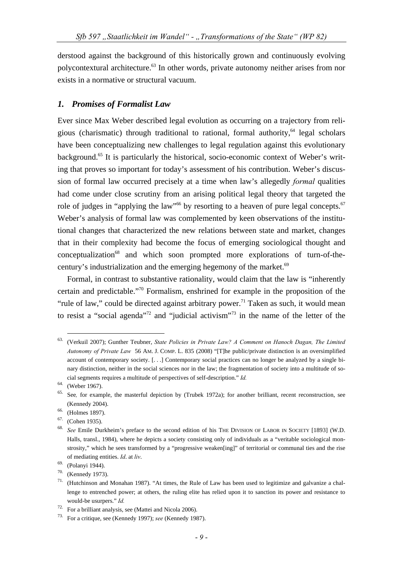derstood against the background of this historically grown and continuously evolving polycontextural architecture.63 In other words, private autonomy neither arises from nor exists in a normative or structural vacuum.

### *1. Promises of Formalist Law*

Ever since Max Weber described legal evolution as occurring on a trajectory from religious (charismatic) through traditional to rational, formal authority, $64$  legal scholars have been conceptualizing new challenges to legal regulation against this evolutionary background.<sup>65</sup> It is particularly the historical, socio-economic context of Weber's writing that proves so important for today's assessment of his contribution. Weber's discussion of formal law occurred precisely at a time when law's allegedly *formal* qualities had come under close scrutiny from an arising political legal theory that targeted the role of judges in "applying the law"<sup>66</sup> by resorting to a heaven of pure legal concepts.<sup>67</sup> Weber's analysis of formal law was complemented by keen observations of the institutional changes that characterized the new relations between state and market, changes that in their complexity had become the focus of emerging sociological thought and  $conceptualization<sup>68</sup>$  and which soon prompted more explorations of turn-of-thecentury's industrialization and the emerging hegemony of the market.<sup>69</sup>

Formal, in contrast to substantive rationality, would claim that the law is "inherently certain and predictable."70 Formalism, enshrined for example in the proposition of the "rule of law," could be directed against arbitrary power.<sup>71</sup> Taken as such, it would mean to resist a "social agenda"<sup>72</sup> and "judicial activism"<sup>73</sup> in the name of the letter of the

 <sup>63. (</sup>Verkuil 2007); Gunther Teubner, *State Policies in Private Law? A Comment on Hanoch Dagan, The Limited Autonomy of Private Law* 56 AM. J. COMP. L. 835 (2008) "[T]he public/private distinction is an oversimplified account of contemporary society. [. . .] Contemporary social practices can no longer be analyzed by a single binary distinction, neither in the social sciences nor in the law; the fragmentation of society into a multitude of social segments requires a multitude of perspectives of self-description." *Id.* 

<sup>64. (</sup>Weber 1967).

<sup>65.</sup> See*,* for example, the masterful depiction by (Trubek 1972a); for another brilliant, recent reconstruction, see (Kennedy 2004). 66. (Holmes 1897).

<sup>67. (</sup>Cohen 1935).

<sup>68.</sup> *See* Emile Durkheim's preface to the second edition of his THE DIVISION OF LABOR IN SOCIETY [1893] (W.D. Halls, transl., 1984), where he depicts a society consisting only of individuals as a "veritable sociological monstrosity," which he sees transformed by a "progressive weaken[ing]" of territorial or communal ties and the rise of mediating entities. *Id*. at *liv*. 69. (Polanyi 1944).

<sup>70. (</sup>Kennedy 1973).

<sup>71. (</sup>Hutchinson and Monahan 1987). "At times, the Rule of Law has been used to legitimize and galvanize a challenge to entrenched power; at others, the ruling elite has relied upon it to sanction its power and resistance to would-be usurpers." *Id.* 

<sup>72.</sup> For a brilliant analysis, see (Mattei and Nicola 2006).

<sup>73.</sup> For a critique, see (Kennedy 1997); *see* (Kennedy 1987).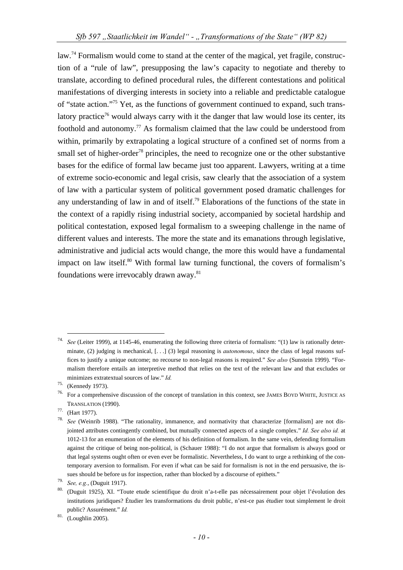law.<sup>74</sup> Formalism would come to stand at the center of the magical, yet fragile, construction of a "rule of law", presupposing the law's capacity to negotiate and thereby to translate, according to defined procedural rules, the different contestations and political manifestations of diverging interests in society into a reliable and predictable catalogue of "state action."75 Yet, as the functions of government continued to expand, such translatory practice<sup>76</sup> would always carry with it the danger that law would lose its center, its foothold and autonomy.<sup>77</sup> As formalism claimed that the law could be understood from within, primarily by extrapolating a logical structure of a confined set of norms from a small set of higher-order<sup>78</sup> principles, the need to recognize one or the other substantive bases for the edifice of formal law became just too apparent. Lawyers, writing at a time of extreme socio-economic and legal crisis, saw clearly that the association of a system of law with a particular system of political government posed dramatic challenges for any understanding of law in and of itself.<sup>79</sup> Elaborations of the functions of the state in the context of a rapidly rising industrial society, accompanied by societal hardship and political contestation, exposed legal formalism to a sweeping challenge in the name of different values and interests. The more the state and its emanations through legislative, administrative and judicial acts would change, the more this would have a fundamental impact on law itself. $80$  With formal law turning functional, the covers of formalism's foundations were irrevocably drawn away.<sup>81</sup>

See (Leiter 1999), at 1145-46, enumerating the following three criteria of formalism: "(1) law is rationally determinate, (2) judging is mechanical, [...] (3) legal reasoning is *autonomous*, since the class of legal reasons suffices to justify a unique outcome; no recourse to non-legal reasons is required." *See also* (Sunstein 1999). "Formalism therefore entails an interpretive method that relies on the text of the relevant law and that excludes or minimizes extratextual sources of law." *Id.* 

<sup>75. (</sup>Kennedy 1973).

<sup>76.</sup> For a comprehensive discussion of the concept of translation in this context, see JAMES BOYD WHITE, JUSTICE AS TRANSLATION (1990). 77. (Hart 1977).

<sup>78.</sup> *See* (Weinrib 1988). "The rationality, immanence, and normativity that characterize [formalism] are not disjointed attributes contingently combined, but mutually connected aspects of a single complex." *Id. See also id.* at 1012-13 for an enumeration of the elements of his definition of formalism. In the same vein, defending formalism against the critique of being non-political, is (Schauer 1988): "I do not argue that formalism is always good or that legal systems ought often or even ever be formalistic. Nevertheless, I do want to urge a rethinking of the contemporary aversion to formalism. For even if what can be said for formalism is not in the end persuasive, the is-

sues should be before us for inspection, rather than blocked by a discourse of epithets."<br> *See, e.g.*, (Duguit 1917).<br>
<sup>80.</sup> (Duguit 1925), XI. "Toute etude scientifique du droit n'a-t-elle pas nécessairement pour objet l institutions juridiques? Étudier les transformations du droit public, n'est-ce pas étudier tout simplement le droit public? Assurément." *Id.* 

<sup>81. (</sup>Loughlin 2005).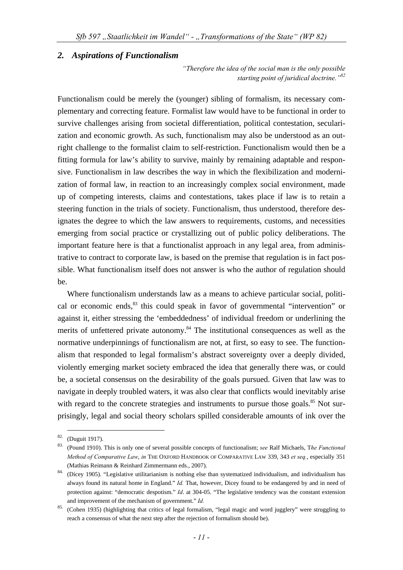#### *2. Aspirations of Functionalism*

*"Therefore the idea of the social man is the only possible starting point of juridical doctrine."82*

Functionalism could be merely the (younger) sibling of formalism, its necessary complementary and correcting feature. Formalist law would have to be functional in order to survive challenges arising from societal differentiation, political contestation, secularization and economic growth. As such, functionalism may also be understood as an outright challenge to the formalist claim to self-restriction. Functionalism would then be a fitting formula for law's ability to survive, mainly by remaining adaptable and responsive. Functionalism in law describes the way in which the flexibilization and modernization of formal law, in reaction to an increasingly complex social environment, made up of competing interests, claims and contestations, takes place if law is to retain a steering function in the trials of society. Functionalism, thus understood, therefore designates the degree to which the law answers to requirements, customs, and necessities emerging from social practice or crystallizing out of public policy deliberations. The important feature here is that a functionalist approach in any legal area, from administrative to contract to corporate law, is based on the premise that regulation is in fact possible. What functionalism itself does not answer is who the author of regulation should be.

Where functionalism understands law as a means to achieve particular social, political or economic ends,<sup>83</sup> this could speak in favor of governmental "intervention" or against it, either stressing the 'embeddedness' of individual freedom or underlining the merits of unfettered private autonomy.<sup>84</sup> The institutional consequences as well as the normative underpinnings of functionalism are not, at first, so easy to see. The functionalism that responded to legal formalism's abstract sovereignty over a deeply divided, violently emerging market society embraced the idea that generally there was, or could be, a societal consensus on the desirability of the goals pursued. Given that law was to navigate in deeply troubled waters, it was also clear that conflicts would inevitably arise with regard to the concrete strategies and instruments to pursue those goals. $85$  Not surprisingly, legal and social theory scholars spilled considerable amounts of ink over the

 <sup>82. (</sup>Duguit 1917).

<sup>83. (</sup>Pound 1910). This is only one of several possible concepts of functionalism; *see* Ralf Michaels, T*he Functional Method of Comparative Law*, *in* THE OXFORD HANDBOOK OF COMPARATIVE LAW 339, 343 *et seq.*, especially 351

<sup>(</sup>Mathias Reimann & Reinhard Zimmermann eds., 2007). 84. (Dicey 1905). "Legislative utilitarianism is nothing else than systematized individualism, and individualism has always found its natural home in England." *Id.* That, however, Dicey found to be endangered by and in need of protection against: "democratic despotism." *Id*. at 304-05. "The legislative tendency was the constant extension and improvement of the mechanism of government." *Id.*

<sup>85. (</sup>Cohen 1935) (highlighting that critics of legal formalism, "legal magic and word jugglery" were struggling to reach a consensus of what the next step after the rejection of formalism should be).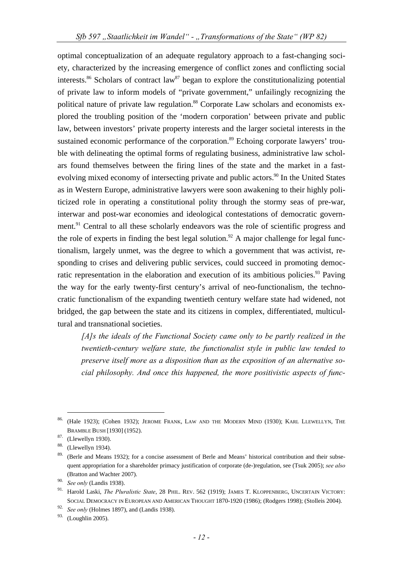optimal conceptualization of an adequate regulatory approach to a fast-changing society, characterized by the increasing emergence of conflict zones and conflicting social interests.<sup>86</sup> Scholars of contract law<sup>87</sup> began to explore the constitutionalizing potential of private law to inform models of "private government," unfailingly recognizing the political nature of private law regulation.<sup>88</sup> Corporate Law scholars and economists explored the troubling position of the 'modern corporation' between private and public law, between investors' private property interests and the larger societal interests in the sustained economic performance of the corporation.<sup>89</sup> Echoing corporate lawyers' trouble with delineating the optimal forms of regulating business, administrative law scholars found themselves between the firing lines of the state and the market in a fastevolving mixed economy of intersecting private and public actors.<sup>90</sup> In the United States as in Western Europe, administrative lawyers were soon awakening to their highly politicized role in operating a constitutional polity through the stormy seas of pre-war, interwar and post-war economies and ideological contestations of democratic government.<sup>91</sup> Central to all these scholarly endeavors was the role of scientific progress and the role of experts in finding the best legal solution.<sup>92</sup> A major challenge for legal functionalism, largely unmet, was the degree to which a government that was activist, responding to crises and delivering public services, could succeed in promoting democratic representation in the elaboration and execution of its ambitious policies.<sup>93</sup> Paving the way for the early twenty-first century's arrival of neo-functionalism, the technocratic functionalism of the expanding twentieth century welfare state had widened, not bridged, the gap between the state and its citizens in complex, differentiated, multicultural and transnational societies.

*[A]s the ideals of the Functional Society came only to be partly realized in the twentieth-century welfare state, the functionalist style in public law tended to preserve itself more as a disposition than as the exposition of an alternative social philosophy. And once this happened, the more positivistic aspects of func-*

<sup>86. (</sup>Hale 1923); (Cohen 1932); JEROME FRANK, LAW AND THE MODERN MIND (1930); KARL LLEWELLYN, THE BRAMBLE BUSH [1930] (1952). 87. (Llewellyn 1930).

<sup>88. (</sup>Llewellyn 1934).

<sup>&</sup>lt;sup>89.</sup> (Berle and Means 1932); for a concise assessment of Berle and Means' historical contribution and their subsequent appropriation for a shareholder primacy justification of corporate (de-)regulation, see (Tsuk 2005); *see also* (Bratton and Wachter 2007).

<sup>90.</sup> *See only* (Landis 1938).

<sup>&</sup>lt;sup>91.</sup> Harold Laski, *The Pluralistic State*, 28 PHIL. REV. 562 (1919); JAMES T. KLOPPENBERG, UNCERTAIN VICTORY: SOCIAL DEMOCRACY IN EUROPEAN AND AMERICAN THOUGHT 1870-1920 (1986); (Rodgers 1998); (Stolleis 2004).

<sup>92.</sup> *See only* (Holmes 1897), and (Landis 1938).

<sup>93. (</sup>Loughlin 2005).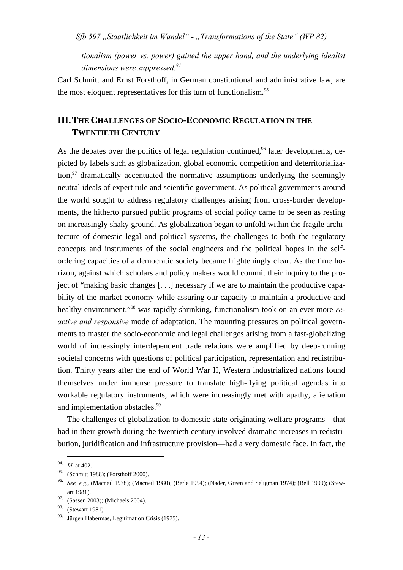*tionalism (power vs. power) gained the upper hand, and the underlying idealist dimensions were suppressed.94*

Carl Schmitt and Ernst Forsthoff, in German constitutional and administrative law, are the most eloquent representatives for this turn of functionalism.<sup>95</sup>

## **III. THE CHALLENGES OF SOCIO-ECONOMIC REGULATION IN THE TWENTIETH CENTURY**

As the debates over the politics of legal regulation continued,  $96$  later developments, depicted by labels such as globalization, global economic competition and deterritorialization, $97$  dramatically accentuated the normative assumptions underlying the seemingly neutral ideals of expert rule and scientific government. As political governments around the world sought to address regulatory challenges arising from cross-border developments, the hitherto pursued public programs of social policy came to be seen as resting on increasingly shaky ground. As globalization began to unfold within the fragile architecture of domestic legal and political systems, the challenges to both the regulatory concepts and instruments of the social engineers and the political hopes in the selfordering capacities of a democratic society became frighteningly clear. As the time horizon, against which scholars and policy makers would commit their inquiry to the project of "making basic changes [. . .] necessary if we are to maintain the productive capability of the market economy while assuring our capacity to maintain a productive and healthy environment,"98 was rapidly shrinking, functionalism took on an ever more *reactive and responsive* mode of adaptation. The mounting pressures on political governments to master the socio-economic and legal challenges arising from a fast-globalizing world of increasingly interdependent trade relations were amplified by deep-running societal concerns with questions of political participation, representation and redistribution. Thirty years after the end of World War II, Western industrialized nations found themselves under immense pressure to translate high-flying political agendas into workable regulatory instruments, which were increasingly met with apathy, alienation and implementation obstacles.<sup>99</sup>

The challenges of globalization to domestic state-originating welfare programs—that had in their growth during the twentieth century involved dramatic increases in redistribution, juridification and infrastructure provision—had a very domestic face. In fact, the

 <sup>94.</sup> *Id*. at 402.

<sup>95. (</sup>Schmitt 1988); (Forsthoff 2000).

<sup>96.</sup> *See, e.g.,* (Macneil 1978); (Macneil 1980); (Berle 1954); (Nader, Green and Seligman 1974); (Bell 1999); (Stewart 1981).<br><sup>97.</sup> (Sassen 2003): (Michaels 2004).

<sup>&</sup>lt;sup>98.</sup> (Stewart 1981).

<sup>99.</sup> Jürgen Habermas, Legitimation Crisis (1975).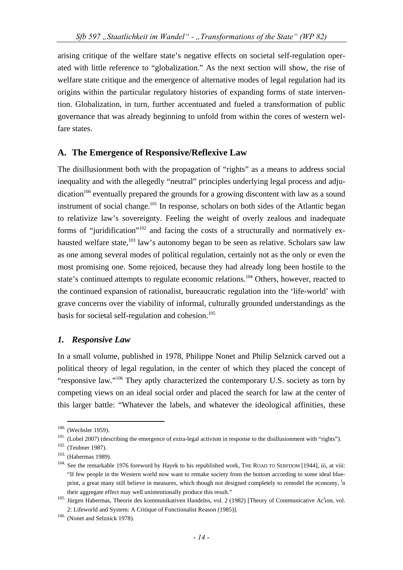arising critique of the welfare state's negative effects on societal self-regulation operated with little reference to "globalization." As the next section will show, the rise of welfare state critique and the emergence of alternative modes of legal regulation had its origins within the particular regulatory histories of expanding forms of state intervention. Globalization, in turn, further accentuated and fueled a transformation of public governance that was already beginning to unfold from within the cores of western welfare states.

## **A. The Emergence of Responsive/Reflexive Law**

The disillusionment both with the propagation of "rights" as a means to address social inequality and with the allegedly "neutral" principles underlying legal process and adju $dication<sup>100</sup> eventually prepared the grounds for a growing discount with law as a sound$ instrument of social change.<sup>101</sup> In response, scholars on both sides of the Atlantic began to relativize law's sovereignty. Feeling the weight of overly zealous and inadequate forms of "juridification"102 and facing the costs of a structurally and normatively exhausted welfare state,<sup>103</sup> law's autonomy began to be seen as relative. Scholars saw law as one among several modes of political regulation, certainly not as the only or even the most promising one. Some rejoiced, because they had already long been hostile to the state's continued attempts to regulate economic relations.<sup>104</sup> Others, however, reacted to the continued expansion of rationalist, bureaucratic regulation into the 'life-world' with grave concerns over the viability of informal, culturally grounded understandings as the basis for societal self-regulation and cohesion. $105$ 

#### *1. Responsive Law*

In a small volume, published in 1978, Philippe Nonet and Philip Selznick carved out a political theory of legal regulation, in the center of which they placed the concept of "responsive law."106 They aptly characterized the contemporary U.S. society as torn by competing views on an ideal social order and placed the search for law at the center of this larger battle: "Whatever the labels, and whatever the ideological affinities, these

<sup>&</sup>lt;sup>100</sup>. (Wechsler 1959).<br><sup>101</sup>. (Lobel 2007) (describing the emergence of extra-legal activism in response to the disillusionment with "rights").<br><sup>102</sup>. (Teubner 1987).<br><sup>103.</sup> (Habermas 1989).<br><sup>104.</sup> See the remarkable 197 "If few people in the Western world now want to remake society from the bottom according to some ideal blueprint, a great many still believe in measures, which though not designed completely to remodel the economy, <sup>i</sup>n

their aggregate effect may well unintentionally produce this result."<br><sup>105.</sup> Jürgen Habermas, Theorie des kommunikativen Handelns, vol. 2 (1982) [Theory of Communicative Ac<sup>t</sup>ion, vol. 2: Lifeworld and System: A Critique of Functionalist Reason (1985)]. 106. (Nonet and Selznick 1978).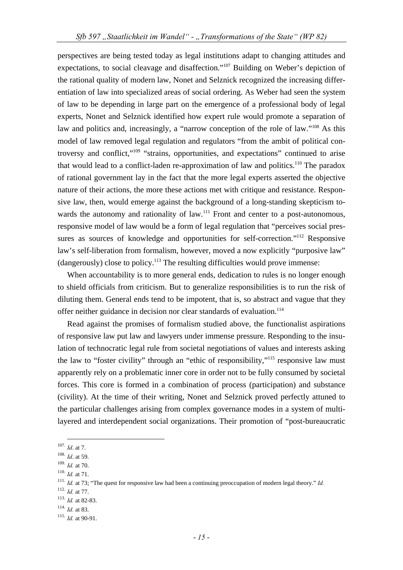perspectives are being tested today as legal institutions adapt to changing attitudes and expectations, to social cleavage and disaffection."107 Building on Weber's depiction of the rational quality of modern law, Nonet and Selznick recognized the increasing differentiation of law into specialized areas of social ordering. As Weber had seen the system of law to be depending in large part on the emergence of a professional body of legal experts, Nonet and Selznick identified how expert rule would promote a separation of law and politics and, increasingly, a "narrow conception of the role of law."108 As this model of law removed legal regulation and regulators "from the ambit of political controversy and conflict,"109 "strains, opportunities, and expectations" continued to arise that would lead to a conflict-laden re-approximation of law and politics.<sup>110</sup> The paradox of rational government lay in the fact that the more legal experts asserted the objective nature of their actions, the more these actions met with critique and resistance. Responsive law, then, would emerge against the background of a long-standing skepticism towards the autonomy and rationality of law.<sup>111</sup> Front and center to a post-autonomous, responsive model of law would be a form of legal regulation that "perceives social pressures as sources of knowledge and opportunities for self-correction."<sup>112</sup> Responsive law's self-liberation from formalism, however, moved a now explicitly "purposive law"  $(d{\rm angerously})$  close to policy.<sup>113</sup> The resulting difficulties would prove immense:

When accountability is to more general ends, dedication to rules is no longer enough to shield officials from criticism. But to generalize responsibilities is to run the risk of diluting them. General ends tend to be impotent, that is, so abstract and vague that they offer neither guidance in decision nor clear standards of evaluation.<sup>114</sup>

Read against the promises of formalism studied above, the functionalist aspirations of responsive law put law and lawyers under immense pressure. Responding to the insulation of technocratic legal rule from societal negotiations of values and interests asking the law to "foster civility" through an "ethic of responsibility,"115 responsive law must apparently rely on a problematic inner core in order not to be fully consumed by societal forces. This core is formed in a combination of process (participation) and substance (civility). At the time of their writing, Nonet and Selznick proved perfectly attuned to the particular challenges arising from complex governance modes in a system of multilayered and interdependent social organizations. Their promotion of "post-bureaucratic

<sup>&</sup>lt;sup>107.</sup> *Id.* at 7.<br><sup>108.</sup> *Id.* at 59.<br><sup>109.</sup> *Id.* at 70.

<sup>&</sup>lt;sup>110.</sup> *Id.* at 71. *Id.* at 71. <sup>111.</sup> *Id.* at 73; "The quest for responsive law had been a continuing preoccupation of modern legal theory." *Id.* <sup>112</sup>. *Id.* at 77.

<sup>113.</sup> *Id.* at 82-83.<br><sup>114.</sup> *Id.* at 83.<br><sup>115.</sup> *Id.* at 90-91.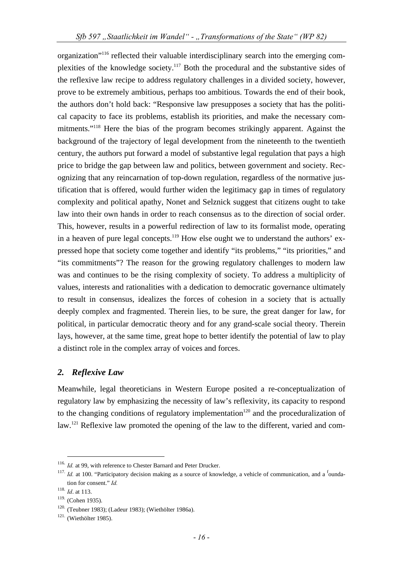organization"116 reflected their valuable interdisciplinary search into the emerging complexities of the knowledge society.117 Both the procedural and the substantive sides of the reflexive law recipe to address regulatory challenges in a divided society, however, prove to be extremely ambitious, perhaps too ambitious. Towards the end of their book, the authors don't hold back: "Responsive law presupposes a society that has the political capacity to face its problems, establish its priorities, and make the necessary commitments."118 Here the bias of the program becomes strikingly apparent. Against the background of the trajectory of legal development from the nineteenth to the twentieth century, the authors put forward a model of substantive legal regulation that pays a high price to bridge the gap between law and politics, between government and society. Recognizing that any reincarnation of top-down regulation, regardless of the normative justification that is offered, would further widen the legitimacy gap in times of regulatory complexity and political apathy, Nonet and Selznick suggest that citizens ought to take law into their own hands in order to reach consensus as to the direction of social order. This, however, results in a powerful redirection of law to its formalist mode, operating in a heaven of pure legal concepts.<sup>119</sup> How else ought we to understand the authors' expressed hope that society come together and identify "its problems," "its priorities," and "its commitments"? The reason for the growing regulatory challenges to modern law was and continues to be the rising complexity of society. To address a multiplicity of values, interests and rationalities with a dedication to democratic governance ultimately to result in consensus, idealizes the forces of cohesion in a society that is actually deeply complex and fragmented. Therein lies, to be sure, the great danger for law, for political, in particular democratic theory and for any grand-scale social theory. Therein lays, however, at the same time, great hope to better identify the potential of law to play a distinct role in the complex array of voices and forces.

## *2. Reflexive Law*

Meanwhile, legal theoreticians in Western Europe posited a re-conceptualization of regulatory law by emphasizing the necessity of law's reflexivity, its capacity to respond to the changing conditions of regulatory implementation<sup>120</sup> and the proceduralization of law.<sup>121</sup> Reflexive law promoted the opening of the law to the different, varied and com-

<sup>&</sup>lt;sup>116.</sup> *Id.* at 99, with reference to Chester Barnard and Peter Drucker.<br><sup>117.</sup> *Id.* at 100. "Participatory decision making as a source of knowledge, a vehicle of communication, and a <sup>f</sup>oundation for consent." *Id.* 

<sup>&</sup>lt;sup>118.</sup> *Id.* at 113.<br><sup>119.</sup> (Cohen 1935).

<sup>&</sup>lt;sup>120.</sup> (Teubner 1983); (Ladeur 1983); (Wiethölter 1986a). <sup>121.</sup> (Wiethölter 1985).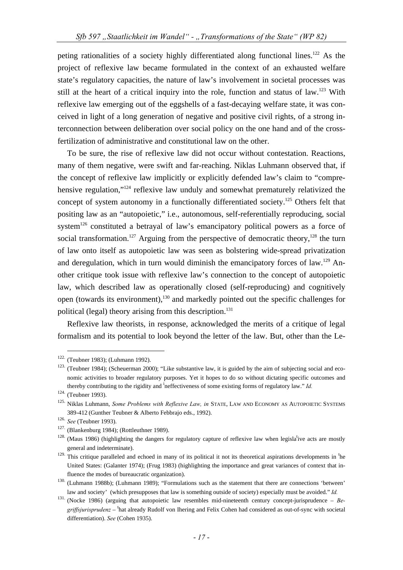peting rationalities of a society highly differentiated along functional lines.<sup>122</sup> As the project of reflexive law became formulated in the context of an exhausted welfare state's regulatory capacities, the nature of law's involvement in societal processes was still at the heart of a critical inquiry into the role, function and status of law.<sup>123</sup> With reflexive law emerging out of the eggshells of a fast-decaying welfare state, it was conceived in light of a long generation of negative and positive civil rights, of a strong interconnection between deliberation over social policy on the one hand and of the crossfertilization of administrative and constitutional law on the other.

To be sure, the rise of reflexive law did not occur without contestation. Reactions, many of them negative, were swift and far-reaching. Niklas Luhmann observed that, if the concept of reflexive law implicitly or explicitly defended law's claim to "comprehensive regulation,"<sup>124</sup> reflexive law unduly and somewhat prematurely relativized the concept of system autonomy in a functionally differentiated society.<sup>125</sup> Others felt that positing law as an "autopoietic," i.e., autonomous, self-referentially reproducing, social system<sup>126</sup> constituted a betrayal of law's emancipatory political powers as a force of social transformation.<sup>127</sup> Arguing from the perspective of democratic theory,<sup>128</sup> the turn of law onto itself as autopoietic law was seen as bolstering wide-spread privatization and deregulation, which in turn would diminish the emancipatory forces of law.<sup>129</sup> Another critique took issue with reflexive law's connection to the concept of autopoietic law, which described law as operationally closed (self-reproducing) and cognitively open (towards its environment),130 and markedly pointed out the specific challenges for political (legal) theory arising from this description.<sup>131</sup>

Reflexive law theorists, in response, acknowledged the merits of a critique of legal formalism and its potential to look beyond the letter of the law. But, other than the Le-

<sup>&</sup>lt;sup>122.</sup> (Teubner 1983); (Luhmann 1992).<br><sup>123.</sup> (Teubner 1984); (Scheuerman 2000); "Like substantive law, it is guided by the aim of subjecting social and economic activities to broader regulatory purposes. Yet it hopes to do so without dictating specific outcomes and thereby contributing to the rigidity and <sup>i</sup>neffectiveness of some existing forms of regulatory law." *Id.* 

<sup>124. (</sup>Teubner 1993).<br><sup>125.</sup> Niklas Luhmann, *Some Problems with Reflexive Law, in* STATE, LAW AND ECONOMY AS AUTOPOIETIC SYSTEMS

<sup>389-412 (</sup>Gunther Teubner & Alberto Febbrajo eds., 1992).<br><sup>126.</sup> See (Teubner 1993).<br><sup>127.</sup> (Blankenburg 1984); (Rottleuthner 1989).<br><sup>127.</sup> (Maus 1986) (highlighting the dangers for regulatory capture of reflexive law when general and indeterminate).

 $129$ . This critique paralleled and echoed in many of its political it not its theoretical aspirations developments in  ${}^{\text{th}}$ e United States: (Galanter 1974); (Frug 1983) (highlighting the importance and great variances of context that in-

fluence the modes of bureaucratic organization).<br><sup>130.</sup> (Luhmann 1988b); (Luhmann 1989); "Formulations such as the statement that there are connections 'between' law and society' (which presupposes that law is something outside of society) especially must be avoided." *Id.*

<sup>131. (</sup>Nocke 1986) (arguing that autopoietic law resembles mid-nineteenth century concept-jurisprudence – *Be*griffsjurisprudenz - <sup>t</sup>hat already Rudolf von Ihering and Felix Cohen had considered as out-of-sync with societal differentiation). *See* (Cohen 1935).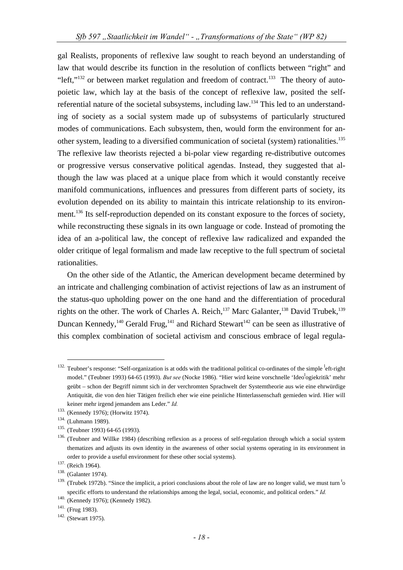gal Realists, proponents of reflexive law sought to reach beyond an understanding of law that would describe its function in the resolution of conflicts between "right" and "left," $^{132}$  or between market regulation and freedom of contract. $^{133}$  The theory of autopoietic law, which lay at the basis of the concept of reflexive law, posited the selfreferential nature of the societal subsystems, including  $law<sup>134</sup>$ . This led to an understanding of society as a social system made up of subsystems of particularly structured modes of communications. Each subsystem, then, would form the environment for another system, leading to a diversified communication of societal (system) rationalities.<sup>135</sup> The reflexive law theorists rejected a bi-polar view regarding re-distributive outcomes or progressive versus conservative political agendas. Instead, they suggested that although the law was placed at a unique place from which it would constantly receive manifold communications, influences and pressures from different parts of society, its evolution depended on its ability to maintain this intricate relationship to its environment.<sup>136</sup> Its self-reproduction depended on its constant exposure to the forces of society, while reconstructing these signals in its own language or code. Instead of promoting the idea of an a-political law, the concept of reflexive law radicalized and expanded the older critique of legal formalism and made law receptive to the full spectrum of societal rationalities.

On the other side of the Atlantic, the American development became determined by an intricate and challenging combination of activist rejections of law as an instrument of the status-quo upholding power on the one hand and the differentiation of procedural rights on the other. The work of Charles A. Reich, $^{137}$  Marc Galanter, $^{138}$  David Trubek, $^{139}$ Duncan Kennedy,<sup>140</sup> Gerald Frug,<sup>141</sup> and Richard Stewart<sup>142</sup> can be seen as illustrative of this complex combination of societal activism and conscious embrace of legal regula-

<sup>&</sup>lt;sup>132.</sup> Teubner's response: "Self-organization is at odds with the traditional political co-ordinates of the simple <sup>l</sup>eft-right model." (Teubner 1993) 64-65 (1993). *But see* (Nocke 1986). "Hier wird keine vorschnelle 'Ideo<sup>l</sup>ogiekritik' mehr geübt – schon der Begriff nimmt sich in der verchromten Sprachwelt der Systemtheorie aus wie eine ehrwürdige Antiquität, die von den hier Tätigen freilich eher wie eine peinliche Hinterlassenschaft gemieden wird. Hier will keiner mehr irgend jemandem ans Leder." *Id.* <sup>133.</sup> (Kennedy 1976); (Horwitz 1974).

<sup>&</sup>lt;sup>134.</sup> (Luhmann 1989).<br><sup>135.</sup> (Teubner 1993) 64-65 (1993).<br><sup>136.</sup> (Teubner and Willke 1984) (describing reflexion as a process of self-regulation through which a social system thematizes and adjusts its own identity in the awareness of other social systems operating in its environment in order to provide a useful environment for these other social systems). <sup>137.</sup> (Reich 1964). <sup>138.</sup> (Galanter 1974).

 $139$ . (Trubek 1972b). "Since the implicit, a priori conclusions about the role of law are no longer valid, we must turn  $t_0$ specific efforts to understand the relationships among the legal, social, economic, and political orders." *Id.* 

<sup>140. (</sup>Kennedy 1976); (Kennedy 1982).<br>
<sup>141</sup>. (Frug 1983).<br>
<sup>142.</sup> (Stewart 1975).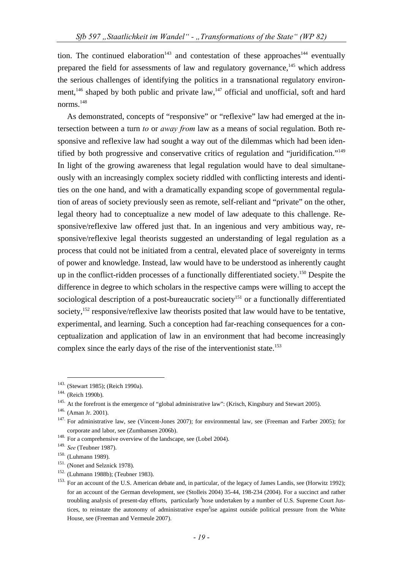tion. The continued elaboration<sup>143</sup> and contestation of these approaches<sup>144</sup> eventually prepared the field for assessments of law and regulatory governance,<sup>145</sup> which address the serious challenges of identifying the politics in a transnational regulatory environment,<sup>146</sup> shaped by both public and private law,<sup>147</sup> official and unofficial, soft and hard norms.<sup>148</sup>

As demonstrated, concepts of "responsive" or "reflexive" law had emerged at the intersection between a turn *to* or *away from* law as a means of social regulation. Both responsive and reflexive law had sought a way out of the dilemmas which had been identified by both progressive and conservative critics of regulation and "juridification."149 In light of the growing awareness that legal regulation would have to deal simultaneously with an increasingly complex society riddled with conflicting interests and identities on the one hand, and with a dramatically expanding scope of governmental regulation of areas of society previously seen as remote, self-reliant and "private" on the other, legal theory had to conceptualize a new model of law adequate to this challenge. Responsive/reflexive law offered just that. In an ingenious and very ambitious way, responsive/reflexive legal theorists suggested an understanding of legal regulation as a process that could not be initiated from a central, elevated place of sovereignty in terms of power and knowledge. Instead, law would have to be understood as inherently caught up in the conflict-ridden processes of a functionally differentiated society.<sup>150</sup> Despite the difference in degree to which scholars in the respective camps were willing to accept the sociological description of a post-bureaucratic society<sup>151</sup> or a functionally differentiated society,<sup>152</sup> responsive/reflexive law theorists posited that law would have to be tentative, experimental, and learning. Such a conception had far-reaching consequences for a conceptualization and application of law in an environment that had become increasingly complex since the early days of the rise of the interventionist state.<sup>153</sup>

<sup>&</sup>lt;sup>143.</sup> (Stewart 1985); (Reich 1990a).<br><sup>144</sup>. (Reich 1990b).<br><sup>145</sup>. At the forefront is the emergence of "global administrative law": (Krisch, Kingsbury and Stewart 2005).<br><sup>146.</sup> (Aman Jr. 2001).<br><sup>147.</sup> For administrative

corporate and labor, see (Zumbansen 2006b).<br><sup>148.</sup> For a comprehensive overview of the landscape, see (Lobel 2004).<br><sup>149.</sup> See (Teubner 1987).

<sup>&</sup>lt;sup>150.</sup> (Luhmann 1989).<br><sup>151.</sup> (Nonet and Selznick 1978).<br><sup>152.</sup> (Luhmann 1988b); (Teubner 1983).<br><sup>152.</sup> For an account of the U.S. American debate and, in particular, of the legacy of James Landis, see (Horwitz 1992); for an account of the German development, see (Stolleis 2004) 35-44, 198-234 (2004). For a succinct and rather troubling analysis of present-day efforts, particularly <sup>t</sup>hose undertaken by a number of U.S. Supreme Court Justices, to reinstate the autonomy of administrative expertise against outside political pressure from the White House, see (Freeman and Vermeule 2007).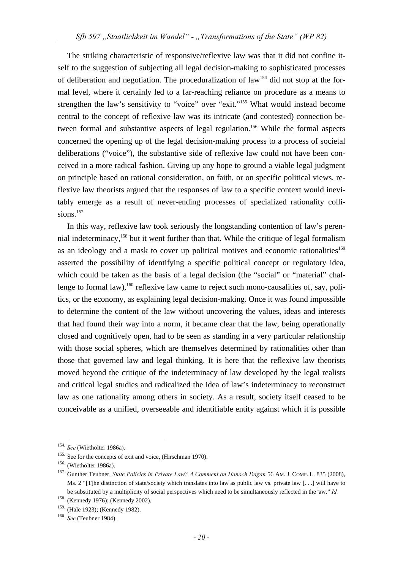The striking characteristic of responsive/reflexive law was that it did not confine itself to the suggestion of subjecting all legal decision-making to sophisticated processes of deliberation and negotiation. The proceduralization of  $law<sup>154</sup>$  did not stop at the formal level, where it certainly led to a far-reaching reliance on procedure as a means to strengthen the law's sensitivity to "voice" over "exit."155 What would instead become central to the concept of reflexive law was its intricate (and contested) connection between formal and substantive aspects of legal regulation.<sup>156</sup> While the formal aspects concerned the opening up of the legal decision-making process to a process of societal deliberations ("voice"), the substantive side of reflexive law could not have been conceived in a more radical fashion. Giving up any hope to ground a viable legal judgment on principle based on rational consideration, on faith, or on specific political views, reflexive law theorists argued that the responses of law to a specific context would inevitably emerge as a result of never-ending processes of specialized rationality collisions.<sup>157</sup>

In this way, reflexive law took seriously the longstanding contention of law's perennial indeterminacy,158 but it went further than that. While the critique of legal formalism as an ideology and a mask to cover up political motives and economic rationalities<sup>159</sup> asserted the possibility of identifying a specific political concept or regulatory idea, which could be taken as the basis of a legal decision (the "social" or "material" challenge to formal law),<sup>160</sup> reflexive law came to reject such mono-causalities of, say, politics, or the economy, as explaining legal decision-making. Once it was found impossible to determine the content of the law without uncovering the values, ideas and interests that had found their way into a norm, it became clear that the law, being operationally closed and cognitively open, had to be seen as standing in a very particular relationship with those social spheres, which are themselves determined by rationalities other than those that governed law and legal thinking. It is here that the reflexive law theorists moved beyond the critique of the indeterminacy of law developed by the legal realists and critical legal studies and radicalized the idea of law's indeterminacy to reconstruct law as one rationality among others in society. As a result, society itself ceased to be conceivable as a unified, overseeable and identifiable entity against which it is possible

<sup>&</sup>lt;sup>154.</sup> See (Wiethölter 1986a).<br><sup>155.</sup> See for the concepts of exit and voice, (Hirschman 1970).<br><sup>156.</sup> (Wiethölter 1986a).<br><sup>156.</sup> (Wiethölter 1986a).<br><sup>157.</sup> Gunther Teubner, *State Policies in Private Law? A Comment on Han* Ms. 2 "[T]he distinction of state/society which translates into law as public law vs. private law [...] will have to be substituted by a multiplicity of social perspectives which need to be simultaneously reflected in the <sup>l</sup>aw." *Id.* 

<sup>158. (</sup>Kennedy 1976); (Kennedy 2002).

<sup>159. (</sup>Hale 1923); (Kennedy 1982). 160. *See* (Teubner 1984).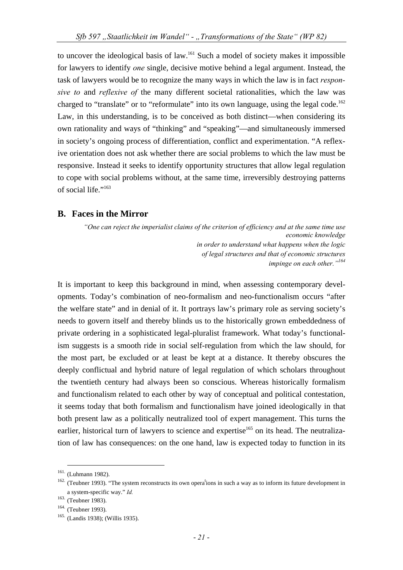to uncover the ideological basis of law.161 Such a model of society makes it impossible for lawyers to identify *one* single, decisive motive behind a legal argument. Instead, the task of lawyers would be to recognize the many ways in which the law is in fact *responsive to* and *reflexive of* the many different societal rationalities, which the law was charged to "translate" or to "reformulate" into its own language, using the legal code.<sup>162</sup> Law, in this understanding, is to be conceived as both distinct—when considering its own rationality and ways of "thinking" and "speaking"—and simultaneously immersed in society's ongoing process of differentiation, conflict and experimentation. "A reflexive orientation does not ask whether there are social problems to which the law must be responsive. Instead it seeks to identify opportunity structures that allow legal regulation to cope with social problems without, at the same time, irreversibly destroying patterns of social life."163

#### **B. Faces in the Mirror**

*"One can reject the imperialist claims of the criterion of efficiency and at the same time use economic knowledge in order to understand what happens when the logic of legal structures and that of economic structures impinge on each other."164*

It is important to keep this background in mind, when assessing contemporary developments. Today's combination of neo-formalism and neo-functionalism occurs "after the welfare state" and in denial of it. It portrays law's primary role as serving society's needs to govern itself and thereby blinds us to the historically grown embeddedness of private ordering in a sophisticated legal-pluralist framework. What today's functionalism suggests is a smooth ride in social self-regulation from which the law should, for the most part, be excluded or at least be kept at a distance. It thereby obscures the deeply conflictual and hybrid nature of legal regulation of which scholars throughout the twentieth century had always been so conscious. Whereas historically formalism and functionalism related to each other by way of conceptual and political contestation, it seems today that both formalism and functionalism have joined ideologically in that both present law as a politically neutralized tool of expert management. This turns the earlier, historical turn of lawyers to science and expertise<sup>165</sup> on its head. The neutralization of law has consequences: on the one hand, law is expected today to function in its

<sup>&</sup>lt;sup>161.</sup> (Luhmann 1982).<br><sup>162.</sup> (Teubner 1993). "The system reconstructs its own opera<sup>t</sup>ions in such a way as to inform its future development in a system-specific way." *Id.* 

<sup>&</sup>lt;sup>164.</sup> (Teubner 1993). <sup>165.</sup> (Landis 1938); (Willis 1935).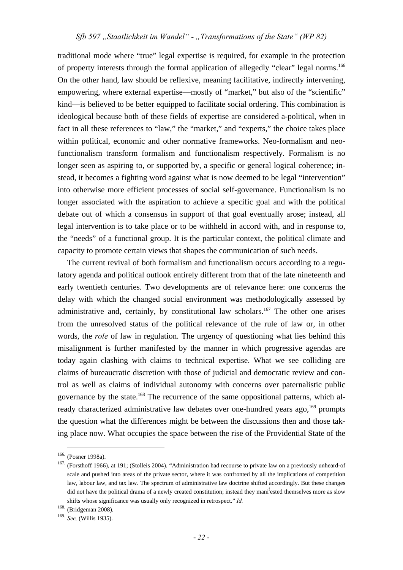traditional mode where "true" legal expertise is required, for example in the protection of property interests through the formal application of allegedly "clear" legal norms.<sup>166</sup> On the other hand, law should be reflexive, meaning facilitative, indirectly intervening, empowering, where external expertise—mostly of "market," but also of the "scientific" kind—is believed to be better equipped to facilitate social ordering. This combination is ideological because both of these fields of expertise are considered a-political, when in fact in all these references to "law," the "market," and "experts," the choice takes place within political, economic and other normative frameworks. Neo-formalism and neofunctionalism transform formalism and functionalism respectively. Formalism is no longer seen as aspiring to, or supported by, a specific or general logical coherence; instead, it becomes a fighting word against what is now deemed to be legal "intervention" into otherwise more efficient processes of social self-governance. Functionalism is no longer associated with the aspiration to achieve a specific goal and with the political debate out of which a consensus in support of that goal eventually arose; instead, all legal intervention is to take place or to be withheld in accord with, and in response to, the "needs" of a functional group. It is the particular context, the political climate and capacity to promote certain views that shapes the communication of such needs.

The current revival of both formalism and functionalism occurs according to a regulatory agenda and political outlook entirely different from that of the late nineteenth and early twentieth centuries. Two developments are of relevance here: one concerns the delay with which the changed social environment was methodologically assessed by administrative and, certainly, by constitutional law scholars.<sup>167</sup> The other one arises from the unresolved status of the political relevance of the rule of law or, in other words, the *role* of law in regulation. The urgency of questioning what lies behind this misalignment is further manifested by the manner in which progressive agendas are today again clashing with claims to technical expertise. What we see colliding are claims of bureaucratic discretion with those of judicial and democratic review and control as well as claims of individual autonomy with concerns over paternalistic public governance by the state.<sup>168</sup> The recurrence of the same oppositional patterns, which already characterized administrative law debates over one-hundred years ago,<sup>169</sup> prompts the question what the differences might be between the discussions then and those taking place now. What occupies the space between the rise of the Providential State of the

<sup>&</sup>lt;sup>166.</sup> (Posner 1998a).<br><sup>167.</sup> (Forsthoff 1966), at 191; (Stolleis 2004). "Administration had recourse to private law on a previously unheard-of scale and pushed into areas of the private sector, where it was confronted by all the implications of competition law, labour law, and tax law. The spectrum of administrative law doctrine shifted accordingly. But these changes did not have the political drama of a newly created constitution; instead they mani<sup>f</sup>ested themselves more as slow shifts whose significance was usually only recognized in retrospect." *Id.* 

<sup>168. (</sup>Bridgeman 2008).

<sup>169.</sup> *See,* (Willis 1935).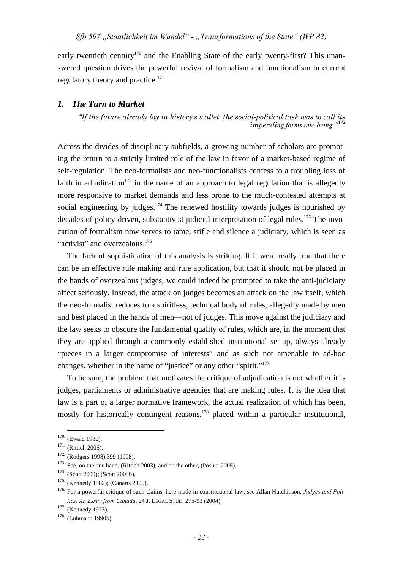early twentieth century<sup>170</sup> and the Enabling State of the early twenty-first? This unanswered question drives the powerful revival of formalism and functionalism in current regulatory theory and practice.<sup>171</sup>

#### *1. The Turn to Market*

*"If the future already lay in history's wallet, the social-political task was to call its impending forms into being."*<sup>172</sup>

Across the divides of disciplinary subfields, a growing number of scholars are promoting the return to a strictly limited role of the law in favor of a market-based regime of self-regulation. The neo-formalists and neo-functionalists confess to a troubling loss of faith in adjudication<sup>173</sup> in the name of an approach to legal regulation that is allegedly more responsive to market demands and less prone to the much-contested attempts at social engineering by judges.<sup>174</sup> The renewed hostility towards judges is nourished by decades of policy-driven, substantivist judicial interpretation of legal rules.<sup>175</sup> The invocation of formalism now serves to tame, stifle and silence a judiciary, which is seen as "activist" and overzealous.<sup>176</sup>

The lack of sophistication of this analysis is striking. If it were really true that there can be an effective rule making and rule application, but that it should not be placed in the hands of overzealous judges, we could indeed be prompted to take the anti-judiciary affect seriously. Instead, the attack on judges becomes an attack on the law itself, which the neo-formalist reduces to a spiritless, technical body of rules, allegedly made by men and best placed in the hands of men—not of judges. This move against the judiciary and the law seeks to obscure the fundamental quality of rules, which are, in the moment that they are applied through a commonly established institutional set-up, always already "pieces in a larger compromise of interests" and as such not amenable to ad-hoc changes, whether in the name of "justice" or any other "spirit."<sup>177</sup>

To be sure, the problem that motivates the critique of adjudication is not whether it is judges, parliaments or administrative agencies that are making rules. It is the idea that law is a part of a larger normative framework, the actual realization of which has been, mostly for historically contingent reasons,<sup>178</sup> placed within a particular institutional,

<sup>&</sup>lt;sup>170.</sup> (Ewald 1986).<br>
<sup>171.</sup> (Rittich 2005).<br>
<sup>172.</sup> (Rodgers 1998) 399 (1998).<br>
<sup>173</sup>. See, on the one hand, (Rittich 2003), and on the other, (Posner 2005).<br>
<sup>174.</sup> (Scott 2000); (Scott 2004b).<br>
<sup>174.</sup> (Kennedy 1982); ( *tics: An Essay from Canada*, 24 J. LEGAL STUD. 275-93 (2004).<br><sup>177.</sup> (Kennedy 1973).<br><sup>178.</sup> (Luhmann 1990b).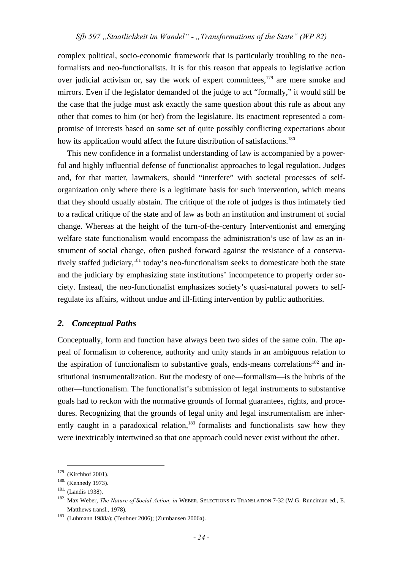complex political, socio-economic framework that is particularly troubling to the neoformalists and neo-functionalists. It is for this reason that appeals to legislative action over judicial activism or, say the work of expert committees,<sup>179</sup> are mere smoke and mirrors. Even if the legislator demanded of the judge to act "formally," it would still be the case that the judge must ask exactly the same question about this rule as about any other that comes to him (or her) from the legislature. Its enactment represented a compromise of interests based on some set of quite possibly conflicting expectations about how its application would affect the future distribution of satisfactions.<sup>180</sup>

This new confidence in a formalist understanding of law is accompanied by a powerful and highly influential defense of functionalist approaches to legal regulation. Judges and, for that matter, lawmakers, should "interfere" with societal processes of selforganization only where there is a legitimate basis for such intervention, which means that they should usually abstain. The critique of the role of judges is thus intimately tied to a radical critique of the state and of law as both an institution and instrument of social change. Whereas at the height of the turn-of-the-century Interventionist and emerging welfare state functionalism would encompass the administration's use of law as an instrument of social change, often pushed forward against the resistance of a conservatively staffed judiciary,<sup>181</sup> today's neo-functionalism seeks to domesticate both the state and the judiciary by emphasizing state institutions' incompetence to properly order society. Instead, the neo-functionalist emphasizes society's quasi-natural powers to selfregulate its affairs, without undue and ill-fitting intervention by public authorities.

#### *2. Conceptual Paths*

Conceptually, form and function have always been two sides of the same coin. The appeal of formalism to coherence, authority and unity stands in an ambiguous relation to the aspiration of functionalism to substantive goals, ends-means correlations<sup>182</sup> and institutional instrumentalization. But the modesty of one—formalism—is the hubris of the other—functionalism. The functionalist's submission of legal instruments to substantive goals had to reckon with the normative grounds of formal guarantees, rights, and procedures. Recognizing that the grounds of legal unity and legal instrumentalism are inherently caught in a paradoxical relation, $183$  formalists and functionalists saw how they were inextricably intertwined so that one approach could never exist without the other.

<sup>179. (</sup>Kirchhof 2001).<br><sup>180.</sup> (Kennedy 1973).<br><sup>181.</sup> (Landis 1938).<br><sup>182.</sup> Max Weber, *The Nature of Social Action*, *in* WEBER. SELECTIONS IN TRANSLATION 7-32 (W.G. Runciman ed., E. Matthews transl., 1978). 183. (Luhmann 1988a); (Teubner 2006); (Zumbansen 2006a).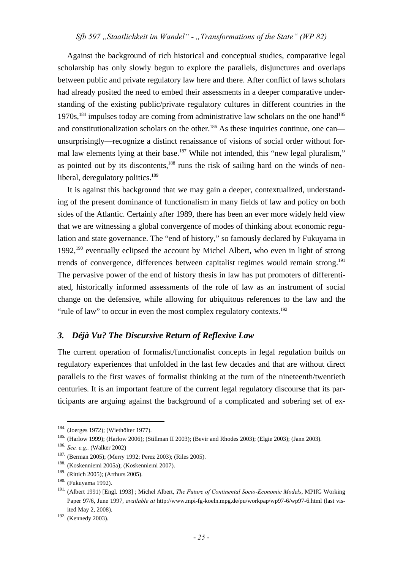Against the background of rich historical and conceptual studies, comparative legal scholarship has only slowly begun to explore the parallels, disjunctures and overlaps between public and private regulatory law here and there. After conflict of laws scholars had already posited the need to embed their assessments in a deeper comparative understanding of the existing public/private regulatory cultures in different countries in the  $1970s$ ,<sup>184</sup> impulses today are coming from administrative law scholars on the one hand<sup>185</sup> and constitutionalization scholars on the other.<sup>186</sup> As these inquiries continue, one can unsurprisingly—recognize a distinct renaissance of visions of social order without formal law elements lying at their base.<sup>187</sup> While not intended, this "new legal pluralism," as pointed out by its discontents, $188$  runs the risk of sailing hard on the winds of neoliberal, deregulatory politics.<sup>189</sup>

It is against this background that we may gain a deeper, contextualized, understanding of the present dominance of functionalism in many fields of law and policy on both sides of the Atlantic. Certainly after 1989, there has been an ever more widely held view that we are witnessing a global convergence of modes of thinking about economic regulation and state governance. The "end of history," so famously declared by Fukuyama in 1992,<sup>190</sup> eventually eclipsed the account by Michel Albert, who even in light of strong trends of convergence, differences between capitalist regimes would remain strong.<sup>191</sup> The pervasive power of the end of history thesis in law has put promoters of differentiated, historically informed assessments of the role of law as an instrument of social change on the defensive, while allowing for ubiquitous references to the law and the "rule of law" to occur in even the most complex regulatory contexts. $192$ 

#### *3. Déjà Vu? The Discursive Return of Reflexive Law*

The current operation of formalist/functionalist concepts in legal regulation builds on regulatory experiences that unfolded in the last few decades and that are without direct parallels to the first waves of formalist thinking at the turn of the nineteenth/twentieth centuries. It is an important feature of the current legal regulatory discourse that its participants are arguing against the background of a complicated and sobering set of ex-

<sup>&</sup>lt;sup>184.</sup> (Joerges 1972); (Wiethölter 1977).<br><sup>185.</sup> (Harlow 1999); (Harlow 2006); (Stillman II 2003); (Bevir and Rhodes 2003); (Elgie 2003); (Jann 2003).<br><sup>186.</sup> *See, e.g.,* (Walker 2002)<br><sup>187.</sup> (Berman 2005); (Merry 1992; P

<sup>&</sup>lt;sup>189.</sup> (Rittich 2005); (Arthurs 2005).

<sup>190. (</sup>Fukuyama 1992).

<sup>191. (</sup>Albert 1991) [Engl. 1993] ; Michel Albert, *The Future of Continental Socio-Economic Models*, MPIfG Working Paper 97/6, June 1997, *available at* http://www.mpi-fg-koeln.mpg.de/pu/workpap/wp97-6/wp97-6.html (last visited May 2, 2008).

<sup>&</sup>lt;sup>192.</sup> (Kennedy 2003).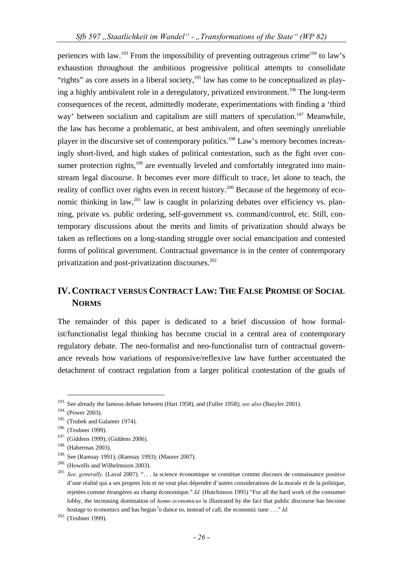periences with law.<sup>193</sup> From the impossibility of preventing outrageous crime<sup>194</sup> to law's exhaustion throughout the ambitious progressive political attempts to consolidate "rights" as core assets in a liberal society, $195$  law has come to be conceptualized as playing a highly ambivalent role in a deregulatory, privatized environment.<sup>196</sup> The long-term consequences of the recent, admittedly moderate, experimentations with finding a 'third way' between socialism and capitalism are still matters of speculation.<sup>197</sup> Meanwhile, the law has become a problematic, at best ambivalent, and often seemingly unreliable player in the discursive set of contemporary politics.<sup>198</sup> Law's memory becomes increasingly short-lived, and high stakes of political contestation, such as the fight over consumer protection rights, $199$  are eventually leveled and comfortably integrated into mainstream legal discourse. It becomes ever more difficult to trace, let alone to teach, the reality of conflict over rights even in recent history.<sup>200</sup> Because of the hegemony of economic thinking in law,<sup>201</sup> law is caught in polarizing debates over efficiency vs. planning, private vs. public ordering, self-government vs. command/control, etc. Still, contemporary discussions about the merits and limits of privatization should always be taken as reflections on a long-standing struggle over social emancipation and contested forms of political government. Contractual governance is in the center of contemporary privatization and post-privatization discourses.<sup>202</sup>

## **IV. CONTRACT VERSUS CONTRACT LAW: THE FALSE PROMISE OF SOCIAL NORMS**

The remainder of this paper is dedicated to a brief discussion of how formalist/functionalist legal thinking has become crucial in a central area of contemporary regulatory debate. The neo-formalist and neo-functionalist turn of contractual governance reveals how variations of responsive/reflexive law have further accentuated the detachment of contract regulation from a larger political contestation of the goals of

 <sup>193.</sup> See already the famous debate between (Hart 1958), and (Fuller 1958); *see also* (Bazyler 2001).

<sup>194. (</sup>Power 2003).

<sup>195. (</sup>Trubek and Galanter 1974).

<sup>196. (</sup>Teubner 1999).

<sup>&</sup>lt;sup>197.</sup> (Giddens 1999); (Giddens 2006).

<sup>198. (</sup>Habermas 2003).

<sup>&</sup>lt;sup>199.</sup> See (Ramsay 1991); (Ramsay 1993); (Maurer 2007).<br><sup>200.</sup> (Howells and Wilhelmsson 2003).<br><sup>201.</sup> *See, generally,* (Laval 2007). ". . . la science économique se constitue comme discours de connaissance positive d'une réalité qui a ses propres lois et ne veut plus dépendre d'autres considerations de la morale et de la politique, rejetées comme étrangères au champ économique." *Id.* (Hutchinson 1995) "For all the hard work of the consumer lobby, the increasing domination of *homo economicus* is illustrated by the fact that public discourse has become hostage to economics and has begun <sup>t</sup>o dance to, instead of call, the economic tune . . ." *Id.* 

<sup>202. (</sup>Teubner 1999).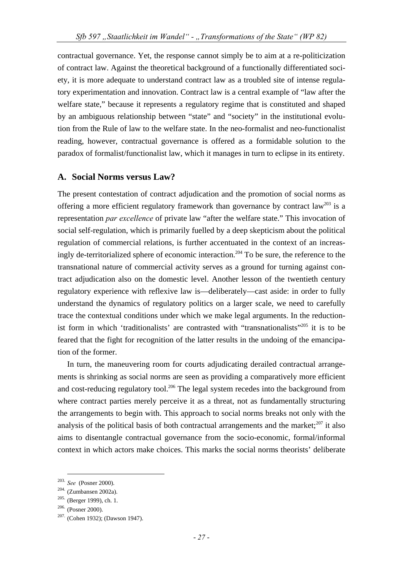contractual governance. Yet, the response cannot simply be to aim at a re-politicization of contract law. Against the theoretical background of a functionally differentiated society, it is more adequate to understand contract law as a troubled site of intense regulatory experimentation and innovation. Contract law is a central example of "law after the welfare state," because it represents a regulatory regime that is constituted and shaped by an ambiguous relationship between "state" and "society" in the institutional evolution from the Rule of law to the welfare state. In the neo-formalist and neo-functionalist reading, however, contractual governance is offered as a formidable solution to the paradox of formalist/functionalist law, which it manages in turn to eclipse in its entirety.

## **A. Social Norms versus Law?**

The present contestation of contract adjudication and the promotion of social norms as offering a more efficient regulatory framework than governance by contract  $law^{203}$  is a representation *par excellence* of private law "after the welfare state." This invocation of social self-regulation, which is primarily fuelled by a deep skepticism about the political regulation of commercial relations, is further accentuated in the context of an increasingly de-territorialized sphere of economic interaction.<sup>204</sup> To be sure, the reference to the transnational nature of commercial activity serves as a ground for turning against contract adjudication also on the domestic level. Another lesson of the twentieth century regulatory experience with reflexive law is—deliberately—cast aside: in order to fully understand the dynamics of regulatory politics on a larger scale, we need to carefully trace the contextual conditions under which we make legal arguments. In the reductionist form in which 'traditionalists' are contrasted with "transnationalists"205 it is to be feared that the fight for recognition of the latter results in the undoing of the emancipation of the former.

In turn, the maneuvering room for courts adjudicating derailed contractual arrangements is shrinking as social norms are seen as providing a comparatively more efficient and cost-reducing regulatory tool.<sup>206</sup> The legal system recedes into the background from where contract parties merely perceive it as a threat, not as fundamentally structuring the arrangements to begin with. This approach to social norms breaks not only with the analysis of the political basis of both contractual arrangements and the market; $^{207}$  it also aims to disentangle contractual governance from the socio-economic, formal/informal context in which actors make choices. This marks the social norms theorists' deliberate

<sup>&</sup>lt;sup>203.</sup> *See* (Posner 2000).<br><sup>204</sup>. (Zumbansen 2002a).<br><sup>205.</sup> (Berger 1999), ch. 1.<br><sup>206.</sup> (Posner 2000).<br><sup>207.</sup> (Cohen 1932); (Dawson 1947).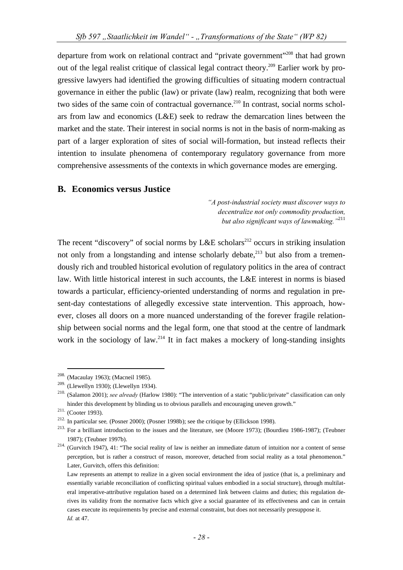departure from work on relational contract and "private government"208 that had grown out of the legal realist critique of classical legal contract theory.<sup>209</sup> Earlier work by progressive lawyers had identified the growing difficulties of situating modern contractual governance in either the public (law) or private (law) realm, recognizing that both were two sides of the same coin of contractual governance.<sup>210</sup> In contrast, social norms scholars from law and economics (L&E) seek to redraw the demarcation lines between the market and the state. Their interest in social norms is not in the basis of norm-making as part of a larger exploration of sites of social will-formation, but instead reflects their intention to insulate phenomena of contemporary regulatory governance from more comprehensive assessments of the contexts in which governance modes are emerging.

#### **B. Economics versus Justice**

*"A post-industrial society must discover ways to decentralize not only commodity production, but also significant ways of lawmaking."*<sup>211</sup>

The recent "discovery" of social norms by L&E scholars<sup>212</sup> occurs in striking insulation not only from a longstanding and intense scholarly debate, $^{213}$  but also from a tremendously rich and troubled historical evolution of regulatory politics in the area of contract law. With little historical interest in such accounts, the L&E interest in norms is biased towards a particular, efficiency-oriented understanding of norms and regulation in present-day contestations of allegedly excessive state intervention. This approach, however, closes all doors on a more nuanced understanding of the forever fragile relationship between social norms and the legal form, one that stood at the centre of landmark work in the sociology of law.<sup>214</sup> It in fact makes a mockery of long-standing insights

<sup>&</sup>lt;sup>208.</sup> (Macaulay 1963); (Macneil 1985).<br><sup>209.</sup> (Llewellyn 1930); (Llewellyn 1934).

<sup>&</sup>lt;sup>210.</sup> (Salamon 2001): *see alreadv* (Harlow 1980): "The intervention of a static "public/private" classification can only hinder this development by blinding us to obvious parallels and encouraging uneven growth."<br>
<sup>211.</sup> (Cooter 1993).<br>
<sup>212</sup> In particular see, (Posner 2000); (Posner 1998b); see the critique by (Ellickson 1998).<br>
<sup>213</sup> For a

<sup>1987); (</sup>Teubner 1997b).<br><sup>214.</sup> (Gurvitch 1947), 41: "The social reality of law is neither an immediate datum of intuition nor a content of sense perception, but is rather a construct of reason, moreover, detached from social reality as a total phenomenon." Later, Gurvitch, offers this definition:

Law represents an attempt to realize in a given social environment the idea of justice (that is, a preliminary and essentially variable reconciliation of conflicting spiritual values embodied in a social structure), through multilateral imperative-attributive regulation based on a determined link between claims and duties; this regulation derives its validity from the normative facts which give a social guarantee of its effectiveness and can in certain cases execute its requirements by precise and external constraint, but does not necessarily presuppose it. *Id.* at 47.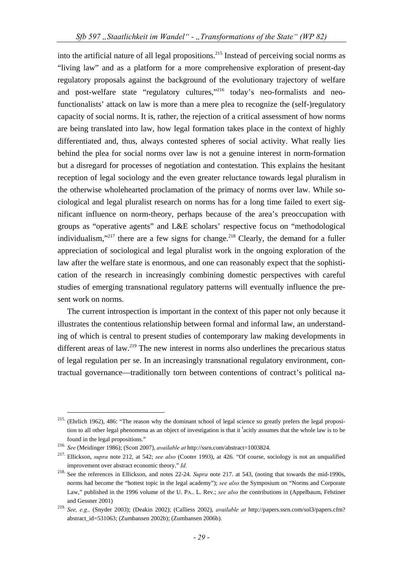into the artificial nature of all legal propositions.<sup>215</sup> Instead of perceiving social norms as "living law" and as a platform for a more comprehensive exploration of present-day regulatory proposals against the background of the evolutionary trajectory of welfare and post-welfare state "regulatory cultures,"<sup>216</sup> today's neo-formalists and neofunctionalists' attack on law is more than a mere plea to recognize the (self-)regulatory capacity of social norms. It is, rather, the rejection of a critical assessment of how norms are being translated into law, how legal formation takes place in the context of highly differentiated and, thus, always contested spheres of social activity. What really lies behind the plea for social norms over law is not a genuine interest in norm-formation but a disregard for processes of negotiation and contestation. This explains the hesitant reception of legal sociology and the even greater reluctance towards legal pluralism in the otherwise wholehearted proclamation of the primacy of norms over law. While sociological and legal pluralist research on norms has for a long time failed to exert significant influence on norm-theory, perhaps because of the area's preoccupation with groups as "operative agents" and L&E scholars' respective focus on "methodological individualism,"<sup>217</sup> there are a few signs for change.<sup>218</sup> Clearly, the demand for a fuller appreciation of sociological and legal pluralist work in the ongoing exploration of the law after the welfare state is enormous, and one can reasonably expect that the sophistication of the research in increasingly combining domestic perspectives with careful studies of emerging transnational regulatory patterns will eventually influence the present work on norms.

The current introspection is important in the context of this paper not only because it illustrates the contentious relationship between formal and informal law, an understanding of which is central to present studies of contemporary law making developments in different areas of law.<sup>219</sup> The new interest in norms also underlines the precarious status of legal regulation per se. In an increasingly transnational regulatory environment, contractual governance—traditionally torn between contentions of contract's political na-

 <sup>215. (</sup>Ehrlich 1962), 486: "The reason why the dominant school of legal science so greatly prefers the legal proposition to all other legal phenomena as an object of investigation is that it <sup>t</sup>acitly assumes that the whole law is to be

found in the legal propositions."<br>
<sup>216.</sup> See (Meidinger 1986); (Scott 2007), *available at* http://ssrn.com/abstract=1003824.<br>
<sup>217.</sup> Ellickson, *supra* note 212, at 542; *see also* (Cooter 1993), at 426. "Of course, soci improvement over abstract economic theory." *Id.* 

<sup>&</sup>lt;sup>218.</sup> See the references in Ellickson, and notes 22-24. *Supra* note 217. at 543, (noting that towards the mid-1990s, norms had become the "hottest topic in the legal academy"); *see also* the Symposium on "Norms and Corporate Law," published in the 1996 volume of the U. PA.. L. Rev.; *see also* the contributions in (Appelbaum, Felstiner and Gessner 2001)

<sup>219.</sup> *See, e.g.,* (Snyder 2003); (Deakin 2002); (Calliess 2002), *available at* http://papers.ssrn.com/sol3/papers.cfm? abstract\_id=531063; (Zumbansen 2002b); (Zumbansen 2006b).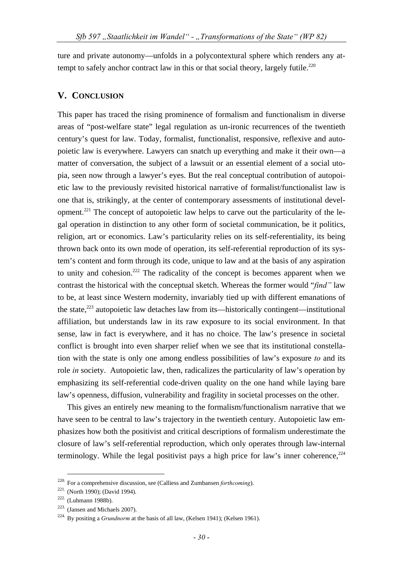ture and private autonomy—unfolds in a polycontextural sphere which renders any attempt to safely anchor contract law in this or that social theory, largely futile.<sup>220</sup>

#### **V. CONCLUSION**

This paper has traced the rising prominence of formalism and functionalism in diverse areas of "post-welfare state" legal regulation as un-ironic recurrences of the twentieth century's quest for law. Today, formalist, functionalist, responsive, reflexive and autopoietic law is everywhere. Lawyers can snatch up everything and make it their own—a matter of conversation, the subject of a lawsuit or an essential element of a social utopia, seen now through a lawyer's eyes. But the real conceptual contribution of autopoietic law to the previously revisited historical narrative of formalist/functionalist law is one that is, strikingly, at the center of contemporary assessments of institutional development.<sup>221</sup> The concept of autopoietic law helps to carve out the particularity of the legal operation in distinction to any other form of societal communication, be it politics, religion, art or economics. Law's particularity relies on its self-referentiality, its being thrown back onto its own mode of operation, its self-referential reproduction of its system's content and form through its code, unique to law and at the basis of any aspiration to unity and cohesion.222 The radicality of the concept is becomes apparent when we contrast the historical with the conceptual sketch. Whereas the former would "*find"* law to be, at least since Western modernity, invariably tied up with different emanations of the state, $^{223}$  autopoietic law detaches law from its—historically contingent—institutional affiliation, but understands law in its raw exposure to its social environment. In that sense, law in fact is everywhere, and it has no choice. The law's presence in societal conflict is brought into even sharper relief when we see that its institutional constellation with the state is only one among endless possibilities of law's exposure *to* and its role *in* society. Autopoietic law, then, radicalizes the particularity of law's operation by emphasizing its self-referential code-driven quality on the one hand while laying bare law's openness, diffusion, vulnerability and fragility in societal processes on the other.

This gives an entirely new meaning to the formalism/functionalism narrative that we have seen to be central to law's trajectory in the twentieth century. Autopoietic law emphasizes how both the positivist and critical descriptions of formalism underestimate the closure of law's self-referential reproduction, which only operates through law-internal terminology. While the legal positivist pays a high price for law's inner coherence,  $2^{24}$ 

<sup>&</sup>lt;sup>220.</sup> For a comprehensive discussion, see (Calliess and Zumbansen *forthcoming*).<br><sup>221.</sup> (North 1990); (David 1994).<br><sup>222</sup>. (Luhmann 1988b).<br><sup>223.</sup> (Jansen and Michaels 2007).<br><sup>224</sup>. By positing a *Grundnorm* at the basi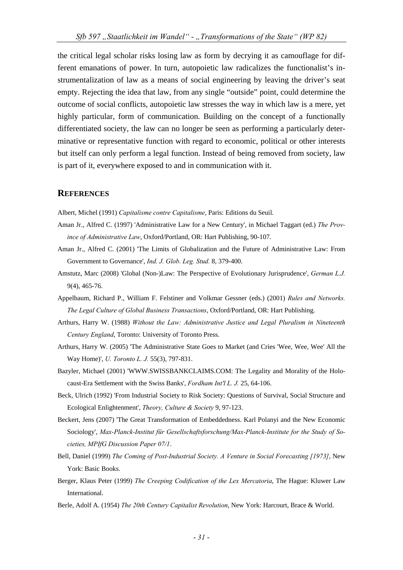the critical legal scholar risks losing law as form by decrying it as camouflage for different emanations of power. In turn, autopoietic law radicalizes the functionalist's instrumentalization of law as a means of social engineering by leaving the driver's seat empty. Rejecting the idea that law, from any single "outside" point, could determine the outcome of social conflicts, autopoietic law stresses the way in which law is a mere, yet highly particular, form of communication. Building on the concept of a functionally differentiated society, the law can no longer be seen as performing a particularly determinative or representative function with regard to economic, political or other interests but itself can only perform a legal function. Instead of being removed from society, law is part of it, everywhere exposed to and in communication with it.

#### **REFERENCES**

Albert, Michel (1991) *Capitalisme contre Capitalisme*, Paris: Editions du Seuil.

- Aman Jr., Alfred C. (1997) 'Administrative Law for a New Century', in Michael Taggart (ed.) *The Province of Administrative Law*, Oxford/Portland, OR: Hart Publishing, 90-107.
- Aman Jr., Alfred C. (2001) 'The Limits of Globalization and the Future of Administrative Law: From Government to Governance', *Ind. J. Glob. Leg. Stud.* 8, 379-400.
- Amstutz, Marc (2008) 'Global (Non-)Law: The Perspective of Evolutionary Jurisprudence', *German L.J.* 9(4), 465-76.
- Appelbaum, Richard P., William F. Felstiner and Volkmar Gessner (eds.) (2001) *Rules and Networks. The Legal Culture of Global Business Transactions*, Oxford/Portland, OR: Hart Publishing.
- Arthurs, Harry W. (1988) *Without the Law: Administrative Justice and Legal Pluralism in Nineteenth Century England*, Toronto: University of Toronto Press.
- Arthurs, Harry W. (2005) 'The Administrative State Goes to Market (and Cries 'Wee, Wee, Wee' All the Way Home)', *U. Toronto L. J.* 55(3), 797-831.
- Bazyler, Michael (2001) 'WWW.SWISSBANKCLAIMS.COM: The Legality and Morality of the Holocaust-Era Settlement with the Swiss Banks', *Fordham Int'l L. J.* 25, 64-106.
- Beck, Ulrich (1992) 'From Industrial Society to Risk Society: Questions of Survival, Social Structure and Ecological Enlightenment', *Theory, Culture & Society* 9, 97-123.
- Beckert, Jens (2007) 'The Great Transformation of Embeddedness. Karl Polanyi and the New Economic Sociology', *Max-Planck-Institut für Gesellschaftsforschung/Max-Planck-Institute for the Study of Societies, MPIfG Discussion Paper 07/1*.
- Bell, Daniel (1999) *The Coming of Post-Industrial Society. A Venture in Social Forecasting [1973]*, New York: Basic Books.
- Berger, Klaus Peter (1999) *The Creeping Codification of the Lex Mercatoria*, The Hague: Kluwer Law International.
- Berle, Adolf A. (1954) *The 20th Century Capitalist Revolution*, New York: Harcourt, Brace & World.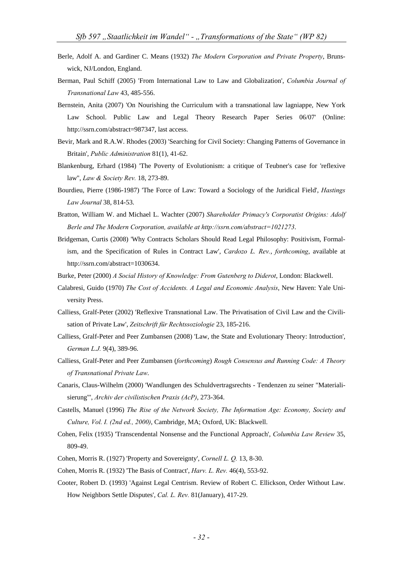- Berle, Adolf A. and Gardiner C. Means (1932) *The Modern Corporation and Private Property*, Brunswick, NJ/London, England.
- Berman, Paul Schiff (2005) 'From International Law to Law and Globalization', *Columbia Journal of Transnational Law* 43, 485-556.
- Bernstein, Anita (2007) 'On Nourishing the Curriculum with a transnational law lagniappe, New York Law School. Public Law and Legal Theory Research Paper Series 06/07' (Online: http://ssrn.com/abstract=987347, last access.
- Bevir, Mark and R.A.W. Rhodes (2003) 'Searching for Civil Society: Changing Patterns of Governance in Britain', *Public Administration* 81(1), 41-62.
- Blankenburg, Erhard (1984) 'The Poverty of Evolutionism: a critique of Teubner's case for 'reflexive law'', *Law & Society Rev.* 18, 273-89.
- Bourdieu, Pierre (1986-1987) 'The Force of Law: Toward a Sociology of the Juridical Field', *Hastings Law Journal* 38, 814-53.
- Bratton, William W. and Michael L. Wachter (2007) *Shareholder Primacy's Corporatist Origins: Adolf Berle and The Modern Corporation, available at http://ssrn.com/abstract=1021273*.
- Bridgeman, Curtis (2008) 'Why Contracts Scholars Should Read Legal Philosophy: Positivism, Formalism, and the Specification of Rules in Contract Law', *Cardozo L. Rev.*, *forthcoming*, available at http://ssrn.com/abstract=1030634.
- Burke, Peter (2000) *A Social History of Knowledge: From Gutenberg to Diderot*, London: Blackwell.
- Calabresi, Guido (1970) *The Cost of Accidents. A Legal and Economic Analysis*, New Haven: Yale University Press.
- Calliess, Gralf-Peter (2002) 'Reflexive Transnational Law. The Privatisation of Civil Law and the Civilisation of Private Law', *Zeitschrift für Rechtssoziologie* 23, 185-216.
- Calliess, Gralf-Peter and Peer Zumbansen (2008) 'Law, the State and Evolutionary Theory: Introduction', *German L.J.* 9(4), 389-96.
- Calliess, Gralf-Peter and Peer Zumbansen (*forthcoming*) *Rough Consensus and Running Code: A Theory of Transnational Private Law*.
- Canaris, Claus-Wilhelm (2000) 'Wandlungen des Schuldvertragsrechts Tendenzen zu seiner "Materialisierung"', *Archiv der civilistischen Praxis (AcP)*, 273-364.
- Castells, Manuel (1996) *The Rise of the Network Society, The Information Age: Economy, Society and Culture, Vol. I. (2nd ed., 2000)*, Cambridge, MA; Oxford, UK: Blackwell.
- Cohen, Felix (1935) 'Transcendental Nonsense and the Functional Approach', *Columbia Law Review* 35, 809-49.
- Cohen, Morris R. (1927) 'Property and Sovereignty', *Cornell L. Q.* 13, 8-30.
- Cohen, Morris R. (1932) 'The Basis of Contract', *Harv. L. Rev.* 46(4), 553-92.
- Cooter, Robert D. (1993) 'Against Legal Centrism. Review of Robert C. Ellickson, Order Without Law. How Neighbors Settle Disputes', *Cal. L. Rev.* 81(January), 417-29.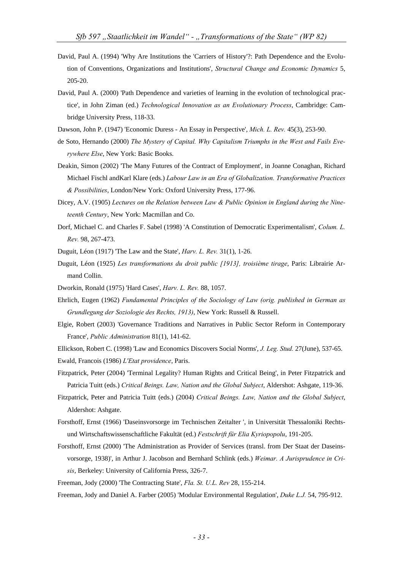- David, Paul A. (1994) 'Why Are Institutions the 'Carriers of History'?: Path Dependence and the Evolution of Conventions, Organizations and Institutions', *Structural Change and Economic Dynamics* 5, 205-20.
- David, Paul A. (2000) 'Path Dependence and varieties of learning in the evolution of technological practice', in John Ziman (ed.) *Technological Innovation as an Evolutionary Process*, Cambridge: Cambridge University Press, 118-33.
- Dawson, John P. (1947) 'Economic Duress An Essay in Perspective', *Mich. L. Rev.* 45(3), 253-90.
- de Soto, Hernando (2000) *The Mystery of Capital. Why Capitalism Triumphs in the West and Fails Everywhere Else*, New York: Basic Books.
- Deakin, Simon (2002) 'The Many Futures of the Contract of Employment', in Joanne Conaghan, Richard Michael Fischl andKarl Klare (eds.) *Labour Law in an Era of Globalization. Transformative Practices & Possibilities*, London/New York: Oxford University Press, 177-96.
- Dicey, A.V. (1905) *Lectures on the Relation between Law & Public Opinion in England during the Nineteenth Century*, New York: Macmillan and Co.
- Dorf, Michael C. and Charles F. Sabel (1998) 'A Constitution of Democratic Experimentalism', *Colum. L. Rev.* 98, 267-473.
- Duguit, Léon (1917) 'The Law and the State', *Harv. L. Rev.* 31(1), 1-26.
- Duguit, Léon (1925) *Les transformations du droit public [1913], troisième tirage*, Paris: Librairie Armand Collin.
- Dworkin, Ronald (1975) 'Hard Cases', *Harv. L. Rev.* 88, 1057.
- Ehrlich, Eugen (1962) *Fundamental Principles of the Sociology of Law (orig. published in German as Grundlegung der Soziologie des Rechts, 1913)*, New York: Russell & Russell.
- Elgie, Robert (2003) 'Governance Traditions and Narratives in Public Sector Reform in Contemporary France', *Public Administration* 81(1), 141-62.
- Ellickson, Robert C. (1998) 'Law and Economics Discovers Social Norms', *J. Leg. Stud.* 27(June), 537-65.
- Ewald, Francois (1986) *L'Etat providence*, Paris.
- Fitzpatrick, Peter (2004) 'Terminal Legality? Human Rights and Critical Being', in Peter Fitzpatrick and Patricia Tuitt (eds.) *Critical Beings. Law, Nation and the Global Subject*, Aldershot: Ashgate, 119-36.
- Fitzpatrick, Peter and Patricia Tuitt (eds.) (2004) *Critical Beings. Law, Nation and the Global Subject*, Aldershot: Ashgate.
- Forsthoff, Ernst (1966) 'Daseinsvorsorge im Technischen Zeitalter ', in Universität Thessaloniki Rechtsund Wirtschaftswissenschaftliche Fakultät (ed.) *Festschrift für Elia Kyriopopolu*, 191-205.
- Forsthoff, Ernst (2000) 'The Administration as Provider of Services (transl. from Der Staat der Daseinsvorsorge, 1938)', in Arthur J. Jacobson and Bernhard Schlink (eds.) *Weimar. A Jurisprudence in Crisis*, Berkeley: University of California Press, 326-7.
- Freeman, Jody (2000) 'The Contracting State', *Fla. St. U.L. Rev* 28, 155-214.

Freeman, Jody and Daniel A. Farber (2005) 'Modular Environmental Regulation', *Duke L.J.* 54, 795-912.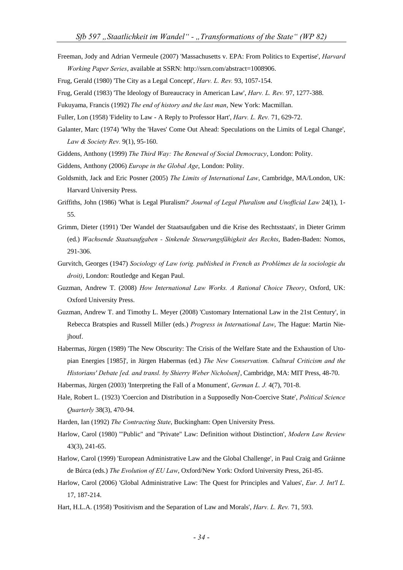Freeman, Jody and Adrian Vermeule (2007) 'Massachusetts v. EPA: From Politics to Expertise', *Harvard Working Paper Series*, available at SSRN: http://ssrn.com/abstract=1008906.

Frug, Gerald (1980) 'The City as a Legal Concept', *Harv. L. Rev.* 93, 1057-154.

Frug, Gerald (1983) 'The Ideology of Bureaucracy in American Law', *Harv. L. Rev.* 97, 1277-388.

Fukuyama, Francis (1992) *The end of history and the last man*, New York: Macmillan.

Fuller, Lon (1958) 'Fidelity to Law - A Reply to Professor Hart', *Harv. L. Rev.* 71, 629-72.

Galanter, Marc (1974) 'Why the 'Haves' Come Out Ahead: Speculations on the Limits of Legal Change', *Law & Society Rev.* 9(1), 95-160.

Giddens, Anthony (1999) *The Third Way: The Renewal of Social Democracy*, London: Polity.

- Giddens, Anthony (2006) *Europe in the Global Age*, London: Polity.
- Goldsmith, Jack and Eric Posner (2005) *The Limits of International Law*, Cambridge, MA/London, UK: Harvard University Press.
- Griffiths, John (1986) 'What is Legal Pluralism?' *Journal of Legal Pluralism and Unofficial Law* 24(1), 1- 55.
- Grimm, Dieter (1991) 'Der Wandel der Staatsaufgaben und die Krise des Rechtsstaats', in Dieter Grimm (ed.) *Wachsende Staatsaufgaben - Sinkende Steuerungsfähigkeit des Rechts*, Baden-Baden: Nomos, 291-306.
- Gurvitch, Georges (1947) *Sociology of Law (orig. published in French as Problèmes de la sociologie du droit)*, London: Routledge and Kegan Paul.
- Guzman, Andrew T. (2008) *How International Law Works. A Rational Choice Theory*, Oxford, UK: Oxford University Press.
- Guzman, Andrew T. and Timothy L. Meyer (2008) 'Customary International Law in the 21st Century', in Rebecca Bratspies and Russell Miller (eds.) *Progress in International Law*, The Hague: Martin Niejhouf.
- Habermas, Jürgen (1989) 'The New Obscurity: The Crisis of the Welfare State and the Exhaustion of Utopian Energies [1985]', in Jürgen Habermas (ed.) *The New Conservatism. Cultural Criticism and the Historians' Debate [ed. and transl. by Shierry Weber Nicholsen]*, Cambridge, MA: MIT Press, 48-70.

Habermas, Jürgen (2003) 'Interpreting the Fall of a Monument', *German L. J.* 4(7), 701-8.

- Hale, Robert L. (1923) 'Coercion and Distribution in a Supposedly Non-Coercive State', *Political Science Quarterly* 38(3), 470-94.
- Harden, Ian (1992) *The Contracting State*, Buckingham: Open University Press.
- Harlow, Carol (1980) '"Public" and "Private" Law: Definition without Distinction', *Modern Law Review* 43(3), 241-65.
- Harlow, Carol (1999) 'European Administrative Law and the Global Challenge', in Paul Craig and Gráinne de Búrca (eds.) *The Evolution of EU Law*, Oxford/New York: Oxford University Press, 261-85.
- Harlow, Carol (2006) 'Global Administrative Law: The Quest for Principles and Values', *Eur. J. Int'l L.* 17, 187-214.
- Hart, H.L.A. (1958) 'Positivism and the Separation of Law and Morals', *Harv. L. Rev.* 71, 593.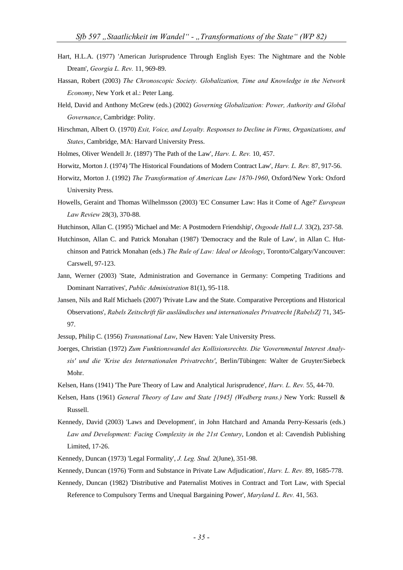- Hart, H.L.A. (1977) 'American Jurisprudence Through English Eyes: The Nightmare and the Noble Dream', *Georgia L. Rev.* 11, 969-89.
- Hassan, Robert (2003) *The Chronoscopic Society. Globalization, Time and Knowledge in the Network Economy*, New York et al.: Peter Lang.
- Held, David and Anthony McGrew (eds.) (2002) *Governing Globalization: Power, Authority and Global Governance*, Cambridge: Polity.
- Hirschman, Albert O. (1970) *Exit, Voice, and Loyalty. Responses to Decline in Firms, Organizations, and States*, Cambridge, MA: Harvard University Press.
- Holmes, Oliver Wendell Jr. (1897) 'The Path of the Law', *Harv. L. Rev.* 10, 457.
- Horwitz, Morton J. (1974) 'The Historical Foundations of Modern Contract Law', *Harv. L. Rev.* 87, 917-56.
- Horwitz, Morton J. (1992) *The Transformation of American Law 1870-1960*, Oxford/New York: Oxford University Press.
- Howells, Geraint and Thomas Wilhelmsson (2003) 'EC Consumer Law: Has it Come of Age?' *European Law Review* 28(3), 370-88.
- Hutchinson, Allan C. (1995) 'Michael and Me: A Postmodern Friendship', *Osgoode Hall L.J.* 33(2), 237-58.
- Hutchinson, Allan C. and Patrick Monahan (1987) 'Democracy and the Rule of Law', in Allan C. Hutchinson and Patrick Monahan (eds.) *The Rule of Law: Ideal or Ideology*, Toronto/Calgary/Vancouver: Carswell, 97-123.
- Jann, Werner (2003) 'State, Administration and Governance in Germany: Competing Traditions and Dominant Narratives', *Public Administration* 81(1), 95-118.
- Jansen, Nils and Ralf Michaels (2007) 'Private Law and the State. Comparative Perceptions and Historical Observations', *Rabels Zeitschrift für ausländisches und internationales Privatrecht [RabelsZ]* 71, 345- 97.
- Jessup, Philip C. (1956) *Transnational Law*, New Haven: Yale University Press.
- Joerges, Christian (1972) *Zum Funktionswandel des Kollisionsrechts. Die 'Governmental Interest Analysis' und die 'Krise des Internationalen Privatrechts'*, Berlin/Tübingen: Walter de Gruyter/Siebeck Mohr.
- Kelsen, Hans (1941) 'The Pure Theory of Law and Analytical Jurisprudence', *Harv. L. Rev.* 55, 44-70.
- Kelsen, Hans (1961) *General Theory of Law and State [1945] (Wedberg trans.)* New York: Russell & Russell.
- Kennedy, David (2003) 'Laws and Development', in John Hatchard and Amanda Perry-Kessaris (eds.) *Law and Development: Facing Complexity in the 21st Century*, London et al: Cavendish Publishing Limited, 17-26.
- Kennedy, Duncan (1973) 'Legal Formality', *J. Leg. Stud.* 2(June), 351-98.
- Kennedy, Duncan (1976) 'Form and Substance in Private Law Adjudication', *Harv. L. Rev.* 89, 1685-778.
- Kennedy, Duncan (1982) 'Distributive and Paternalist Motives in Contract and Tort Law, with Special Reference to Compulsory Terms and Unequal Bargaining Power', *Maryland L. Rev.* 41, 563.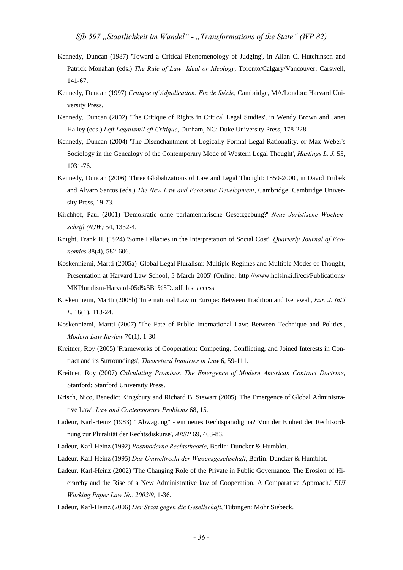- Kennedy, Duncan (1987) 'Toward a Critical Phenomenology of Judging', in Allan C. Hutchinson and Patrick Monahan (eds.) *The Rule of Law: Ideal or Ideology*, Toronto/Calgary/Vancouver: Carswell, 141-67.
- Kennedy, Duncan (1997) *Critique of Adjudication. Fin de Siècle*, Cambridge, MA/London: Harvard University Press.
- Kennedy, Duncan (2002) 'The Critique of Rights in Critical Legal Studies', in Wendy Brown and Janet Halley (eds.) *Left Legalism/Left Critique*, Durham, NC: Duke University Press, 178-228.
- Kennedy, Duncan (2004) 'The Disenchantment of Logically Formal Legal Rationality, or Max Weber's Sociology in the Genealogy of the Contemporary Mode of Western Legal Thought', *Hastings L. J.* 55, 1031-76.
- Kennedy, Duncan (2006) 'Three Globalizations of Law and Legal Thought: 1850-2000', in David Trubek and Alvaro Santos (eds.) *The New Law and Economic Development*, Cambridge: Cambridge University Press, 19-73.
- Kirchhof, Paul (2001) 'Demokratie ohne parlamentarische Gesetzgebung?' *Neue Juristische Wochenschrift (NJW)* 54, 1332-4.
- Knight, Frank H. (1924) 'Some Fallacies in the Interpretation of Social Cost', *Quarterly Journal of Economics* 38(4), 582-606.
- Koskenniemi, Martti (2005a) 'Global Legal Pluralism: Multiple Regimes and Multiple Modes of Thought, Presentation at Harvard Law School, 5 March 2005' (Online: http://www.helsinki.fi/eci/Publications/ MKPluralism-Harvard-05d%5B1%5D.pdf, last access.
- Koskenniemi, Martti (2005b) 'International Law in Europe: Between Tradition and Renewal', *Eur. J. Int'l L.* 16(1), 113-24.
- Koskenniemi, Martti (2007) 'The Fate of Public International Law: Between Technique and Politics', *Modern Law Review* 70(1), 1-30.
- Kreitner, Roy (2005) 'Frameworks of Cooperation: Competing, Conflicting, and Joined Interests in Contract and its Surroundings', *Theoretical Inquiries in Law* 6, 59-111.
- Kreitner, Roy (2007) *Calculating Promises. The Emergence of Modern American Contract Doctrine*, Stanford: Stanford University Press.
- Krisch, Nico, Benedict Kingsbury and Richard B. Stewart (2005) 'The Emergence of Global Administrative Law', *Law and Contemporary Problems* 68, 15.
- Ladeur, Karl-Heinz (1983) '"Abwägung" ein neues Rechtsparadigma? Von der Einheit der Rechtsordnung zur Pluralität der Rechtsdiskurse', *ARSP* 69, 463-83.
- Ladeur, Karl-Heinz (1992) *Postmoderne Rechtstheorie*, Berlin: Duncker & Humblot.
- Ladeur, Karl-Heinz (1995) *Das Umweltrecht der Wissensgesellschaft*, Berlin: Duncker & Humblot.
- Ladeur, Karl-Heinz (2002) 'The Changing Role of the Private in Public Governance. The Erosion of Hierarchy and the Rise of a New Administrative law of Cooperation. A Comparative Approach.' *EUI Working Paper Law No. 2002/9*, 1-36.
- Ladeur, Karl-Heinz (2006) *Der Staat gegen die Gesellschaft*, Tübingen: Mohr Siebeck.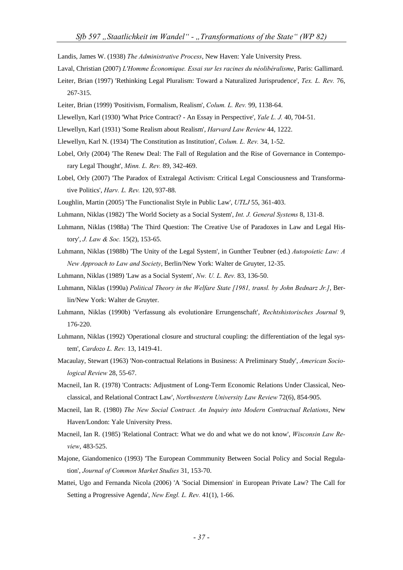Landis, James W. (1938) *The Administrative Process*, New Haven: Yale University Press.

- Laval, Christian (2007) *L'Homme Économique. Essai sur les racines du néolibéralisme*, Paris: Gallimard.
- Leiter, Brian (1997) 'Rethinking Legal Pluralism: Toward a Naturalized Jurisprudence', *Tex. L. Rev.* 76, 267-315.
- Leiter, Brian (1999) 'Positivism, Formalism, Realism', *Colum. L. Rev.* 99, 1138-64.
- Llewellyn, Karl (1930) 'What Price Contract? An Essay in Perspective', *Yale L. J.* 40, 704-51.
- Llewellyn, Karl (1931) 'Some Realism about Realism', *Harvard Law Review* 44, 1222.
- Llewellyn, Karl N. (1934) 'The Constitution as Institution', *Colum. L. Rev.* 34, 1-52.
- Lobel, Orly (2004) 'The Renew Deal: The Fall of Regulation and the Rise of Governance in Contemporary Legal Thought', *Minn. L. Rev.* 89, 342-469.
- Lobel, Orly (2007) 'The Paradox of Extralegal Activism: Critical Legal Consciousness and Transformative Politics', *Harv. L. Rev.* 120, 937-88.
- Loughlin, Martin (2005) 'The Functionalist Style in Public Law', *UTLJ* 55, 361-403.
- Luhmann, Niklas (1982) 'The World Society as a Social System', *Int. J. General Systems* 8, 131-8.
- Luhmann, Niklas (1988a) 'The Third Question: The Creative Use of Paradoxes in Law and Legal History', *J. Law & Soc.* 15(2), 153-65.
- Luhmann, Niklas (1988b) 'The Unity of the Legal System', in Gunther Teubner (ed.) *Autopoietic Law: A New Approach to Law and Society*, Berlin/New York: Walter de Gruyter, 12-35.
- Luhmann, Niklas (1989) 'Law as a Social System', *Nw. U. L. Rev.* 83, 136-50.
- Luhmann, Niklas (1990a) *Political Theory in the Welfare State [1981, transl. by John Bednarz Jr.]*, Berlin/New York: Walter de Gruyter.
- Luhmann, Niklas (1990b) 'Verfassung als evolutionäre Errungenschaft', *Rechtshistorisches Journal* 9, 176-220.
- Luhmann, Niklas (1992) 'Operational closure and structural coupling: the differentiation of the legal system', *Cardozo L. Rev.* 13, 1419-41.
- Macaulay, Stewart (1963) 'Non-contractual Relations in Business: A Preliminary Study', *American Sociological Review* 28, 55-67.
- Macneil, Ian R. (1978) 'Contracts: Adjustment of Long-Term Economic Relations Under Classical, Neoclassical, and Relational Contract Law', *Northwestern University Law Review* 72(6), 854-905.
- Macneil, Ian R. (1980) *The New Social Contract. An Inquiry into Modern Contractual Relations*, New Haven/London: Yale University Press.
- Macneil, Ian R. (1985) 'Relational Contract: What we do and what we do not know', *Wisconsin Law Review*, 483-525.
- Majone, Giandomenico (1993) 'The European Commmunity Between Social Policy and Social Regulation', *Journal of Common Market Studies* 31, 153-70.
- Mattei, Ugo and Fernanda Nicola (2006) 'A 'Social Dimension' in European Private Law? The Call for Setting a Progressive Agenda', *New Engl. L. Rev.* 41(1), 1-66.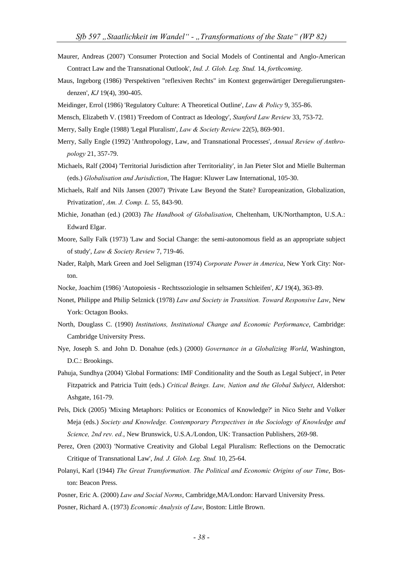- Maurer, Andreas (2007) 'Consumer Protection and Social Models of Continental and Anglo-American Contract Law and the Transnational Outlook', *Ind. J. Glob. Leg. Stud.* 14, *forthcoming*.
- Maus, Ingeborg (1986) 'Perspektiven "reflexiven Rechts" im Kontext gegenwärtiger Deregulierungstendenzen', *KJ* 19(4), 390-405.
- Meidinger, Errol (1986) 'Regulatory Culture: A Theoretical Outline', *Law & Policy* 9, 355-86.
- Mensch, Elizabeth V. (1981) 'Freedom of Contract as Ideology', *Stanford Law Review* 33, 753-72.
- Merry, Sally Engle (1988) 'Legal Pluralism', *Law & Society Review* 22(5), 869-901.
- Merry, Sally Engle (1992) 'Anthropology, Law, and Transnational Processes', *Annual Review of Anthropology* 21, 357-79.
- Michaels, Ralf (2004) 'Territorial Jurisdiction after Territoriality', in Jan Pieter Slot and Mielle Bulterman (eds.) *Globalisation and Jurisdiction*, The Hague: Kluwer Law International, 105-30.
- Michaels, Ralf and Nils Jansen (2007) 'Private Law Beyond the State? Europeanization, Globalization, Privatization', *Am. J. Comp. L.* 55, 843-90.
- Michie, Jonathan (ed.) (2003) *The Handbook of Globalisation*, Cheltenham, UK/Northampton, U.S.A.: Edward Elgar.
- Moore, Sally Falk (1973) 'Law and Social Change: the semi-autonomous field as an appropriate subject of study', *Law & Society Review* 7, 719-46.
- Nader, Ralph, Mark Green and Joel Seligman (1974) *Corporate Power in America*, New York City: Norton.
- Nocke, Joachim (1986) 'Autopoiesis Rechtssoziologie in seltsamen Schleifen', *KJ* 19(4), 363-89.
- Nonet, Philippe and Philip Selznick (1978) *Law and Society in Transition. Toward Responsive Law*, New York: Octagon Books.
- North, Douglass C. (1990) *Institutions, Institutional Change and Economic Performance*, Cambridge: Cambridge University Press.
- Nye, Joseph S. and John D. Donahue (eds.) (2000) *Governance in a Globalizing World*, Washington, D.C.: Brookings.
- Pahuja, Sundhya (2004) 'Global Formations: IMF Conditionality and the South as Legal Subject', in Peter Fitzpatrick and Patricia Tuitt (eds.) *Critical Beings. Law, Nation and the Global Subject*, Aldershot: Ashgate, 161-79.
- Pels, Dick (2005) 'Mixing Metaphors: Politics or Economics of Knowledge?' in Nico Stehr and Volker Meja (eds.) *Society and Knowledge. Contemporary Perspectives in the Sociology of Knowledge and Science, 2nd rev. ed.*, New Brunswick, U.S.A./London, UK: Transaction Publishers, 269-98.
- Perez, Oren (2003) 'Normative Creativity and Global Legal Pluralism: Reflections on the Democratic Critique of Transnational Law', *Ind. J. Glob. Leg. Stud.* 10, 25-64.
- Polanyi, Karl (1944) *The Great Transformation. The Political and Economic Origins of our Time*, Boston: Beacon Press.
- Posner, Eric A. (2000) *Law and Social Norms*, Cambridge,MA/London: Harvard University Press.
- Posner, Richard A. (1973) *Economic Analysis of Law*, Boston: Little Brown.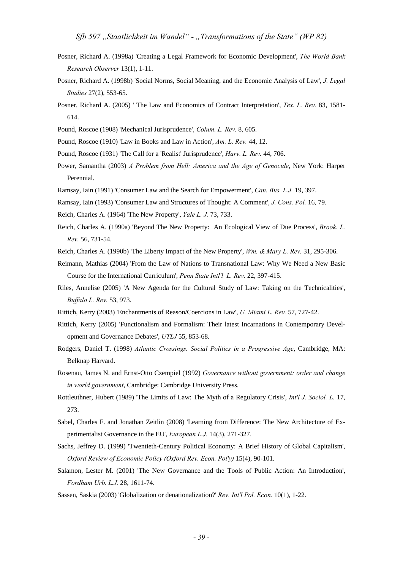- Posner, Richard A. (1998a) 'Creating a Legal Framework for Economic Development', *The World Bank Research Observer* 13(1), 1-11.
- Posner, Richard A. (1998b) 'Social Norms, Social Meaning, and the Economic Analysis of Law', *J. Legal Studies* 27(2), 553-65.
- Posner, Richard A. (2005) ' The Law and Economics of Contract Interpretation', *Tex. L. Rev.* 83, 1581- 614.
- Pound, Roscoe (1908) 'Mechanical Jurisprudence', *Colum. L. Rev.* 8, 605.
- Pound, Roscoe (1910) 'Law in Books and Law in Action', *Am. L. Rev.* 44, 12.
- Pound, Roscoe (1931) 'The Call for a 'Realist' Jurisprudence', *Harv. L. Rev.* 44, 706.
- Power, Samantha (2003) *A Problem from Hell: America and the Age of Genocide*, New York: Harper Perennial.
- Ramsay, Iain (1991) 'Consumer Law and the Search for Empowerment', *Can. Bus. L.J.* 19, 397.
- Ramsay, Iain (1993) 'Consumer Law and Structures of Thought: A Comment', *J. Cons. Pol.* 16, 79.
- Reich, Charles A. (1964) 'The New Property', *Yale L. J.* 73, 733.
- Reich, Charles A. (1990a) 'Beyond The New Property: An Ecological View of Due Process', *Brook. L. Rev.* 56, 731-54.
- Reich, Charles A. (1990b) 'The Liberty Impact of the New Property', *Wm. & Mary L. Rev.* 31, 295-306.
- Reimann, Mathias (2004) 'From the Law of Nations to Transnational Law: Why We Need a New Basic Course for the International Curriculum', *Penn State Intl'l L. Rev.* 22, 397-415.
- Riles, Annelise (2005) 'A New Agenda for the Cultural Study of Law: Taking on the Technicalities', *Buffalo L. Rev.* 53, 973.
- Rittich, Kerry (2003) 'Enchantments of Reason/Coercions in Law', *U. Miami L. Rev.* 57, 727-42.
- Rittich, Kerry (2005) 'Functionalism and Formalism: Their latest Incarnations in Contemporary Development and Governance Debates', *UTLJ* 55, 853-68.
- Rodgers, Daniel T. (1998) *Atlantic Crossings. Social Politics in a Progressive Age*, Cambridge, MA: Belknap Harvard.
- Rosenau, James N. and Ernst-Otto Czempiel (1992) *Governance without government: order and change in world government*, Cambridge: Cambridge University Press.
- Rottleuthner, Hubert (1989) 'The Limits of Law: The Myth of a Regulatory Crisis', *Int'l J. Sociol. L.* 17, 273.
- Sabel, Charles F. and Jonathan Zeitlin (2008) 'Learning from Difference: The New Architecture of Experimentalist Governance in the EU', *European L.J.* 14(3), 271-327.
- Sachs, Jeffrey D. (1999) 'Twentieth-Century Political Economy: A Brief History of Global Capitalism', *Oxford Review of Economic Policy (Oxford Rev. Econ. Pol'y)* 15(4), 90-101.
- Salamon, Lester M. (2001) 'The New Governance and the Tools of Public Action: An Introduction', *Fordham Urb. L.J.* 28, 1611-74.
- Sassen, Saskia (2003) 'Globalization or denationalization?' *Rev. Int'l Pol. Econ.* 10(1), 1-22.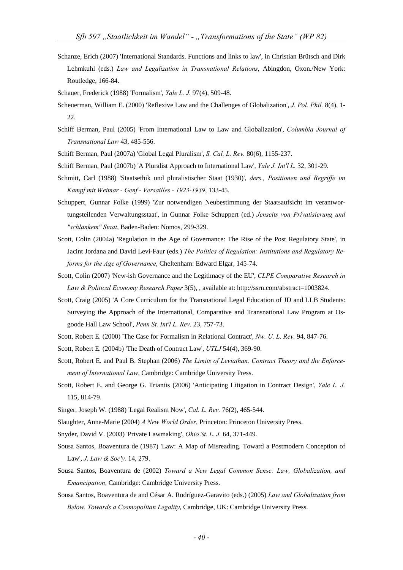- Schanze, Erich (2007) 'International Standards. Functions and links to law', in Christian Brütsch and Dirk Lehmkuhl (eds.) *Law and Legalization in Transnational Relations*, Abingdon, Oxon./New York: Routledge, 166-84.
- Schauer, Frederick (1988) 'Formalism', *Yale L. J.* 97(4), 509-48.
- Scheuerman, William E. (2000) 'Reflexive Law and the Challenges of Globalization', *J. Pol. Phil.* 8(4), 1- 22.
- Schiff Berman, Paul (2005) 'From International Law to Law and Globalization', *Columbia Journal of Transnational Law* 43, 485-556.
- Schiff Berman, Paul (2007a) 'Global Legal Pluralism', *S. Cal. L. Rev.* 80(6), 1155-237.
- Schiff Berman, Paul (2007b) 'A Pluralist Approach to International Law', *Yale J. Int'l L.* 32, 301-29.
- Schmitt, Carl (1988) 'Staatsethik und pluralistischer Staat (1930)', *ders., Positionen und Begriffe im Kampf mit Weimar - Genf - Versailles - 1923-1939*, 133-45.
- Schuppert, Gunnar Folke (1999) 'Zur notwendigen Neubestimmung der Staatsaufsicht im verantwortungsteilenden Verwaltungsstaat', in Gunnar Folke Schuppert (ed.) *Jenseits von Privatisierung und "schlankem" Staat*, Baden-Baden: Nomos, 299-329.
- Scott, Colin (2004a) 'Regulation in the Age of Governance: The Rise of the Post Regulatory State', in Jacint Jordana and David Levi-Faur (eds.) *The Politics of Regulation: Institutions and Regulatory Reforms for the Age of Governance*, Cheltenham: Edward Elgar, 145-74.
- Scott, Colin (2007) 'New-ish Governance and the Legitimacy of the EU', *CLPE Comparative Research in Law & Political Economy Research Paper* 3(5), , available at: http://ssrn.com/abstract=1003824.
- Scott, Craig (2005) 'A Core Curriculum for the Transnational Legal Education of JD and LLB Students: Surveying the Approach of the International, Comparative and Transnational Law Program at Osgoode Hall Law School', *Penn St. Int'l L. Rev.* 23, 757-73.
- Scott, Robert E. (2000) 'The Case for Formalism in Relational Contract', *Nw. U. L. Rev.* 94, 847-76.
- Scott, Robert E. (2004b) 'The Death of Contract Law', *UTLJ* 54(4), 369-90.
- Scott, Robert E. and Paul B. Stephan (2006) *The Limits of Leviathan. Contract Theory and the Enforcement of International Law*, Cambridge: Cambridge University Press.
- Scott, Robert E. and George G. Triantis (2006) 'Anticipating Litigation in Contract Design', *Yale L. J.* 115, 814-79.
- Singer, Joseph W. (1988) 'Legal Realism Now', *Cal. L. Rev.* 76(2), 465-544.
- Slaughter, Anne-Marie (2004) *A New World Order*, Princeton: Princeton University Press.
- Snyder, David V. (2003) 'Private Lawmaking', *Ohio St. L. J.* 64, 371-449.
- Sousa Santos, Boaventura de (1987) 'Law: A Map of Misreading. Toward a Postmodern Conception of Law', *J. Law & Soc'y.* 14, 279.
- Sousa Santos, Boaventura de (2002) *Toward a New Legal Common Sense: Law, Globalization, and Emancipation*, Cambridge: Cambridge University Press.
- Sousa Santos, Boaventura de and César A. Rodríguez-Garavito (eds.) (2005) *Law and Globalization from Below. Towards a Cosmopolitan Legality*, Cambridge, UK: Cambridge University Press.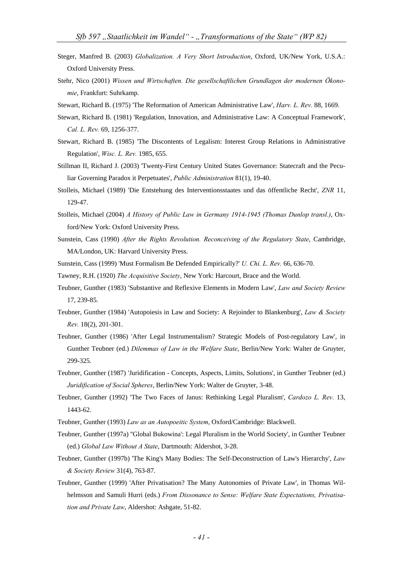- Steger, Manfred B. (2003) *Globalization. A Very Short Introduction*, Oxford, UK/New York, U.S.A.: Oxford University Press.
- Stehr, Nico (2001) *Wissen und Wirtschaften. Die gesellschaftlichen Grundlagen der modernen Ökonomie*, Frankfurt: Suhrkamp.
- Stewart, Richard B. (1975) 'The Reformation of American Administrative Law', *Harv. L. Rev.* 88, 1669.
- Stewart, Richard B. (1981) 'Regulation, Innovation, and Administrative Law: A Conceptual Framework', *Cal. L. Rev.* 69, 1256-377.
- Stewart, Richard B. (1985) 'The Discontents of Legalism: Interest Group Relations in Administrative Regulation', *Wisc. L. Rev.* 1985, 655.
- Stillman II, Richard J. (2003) 'Twenty-First Century United States Governance: Statecraft and the Peculiar Governing Paradox it Perpetuates', *Public Administration* 81(1), 19-40.
- Stolleis, Michael (1989) 'Die Entstehung des Interventionsstaates und das öffentliche Recht', *ZNR* 11, 129-47.
- Stolleis, Michael (2004) *A History of Public Law in Germany 1914-1945 (Thomas Dunlop transl.)*, Oxford/New York: Oxford University Press.
- Sunstein, Cass (1990) *After the Rights Revolution. Reconceiving of the Regulatory State*, Cambridge, MA/London, UK: Harvard University Press.
- Sunstein, Cass (1999) 'Must Formalism Be Defended Empirically?' *U. Chi. L. Rev.* 66, 636-70.
- Tawney, R.H. (1920) *The Acquisitive Society*, New York: Harcourt, Brace and the World.
- Teubner, Gunther (1983) 'Substantive and Reflexive Elements in Modern Law', *Law and Society Review* 17, 239-85.
- Teubner, Gunther (1984) 'Autopoiesis in Law and Society: A Rejoinder to Blankenburg', *Law & Society Rev.* 18(2), 201-301.
- Teubner, Gunther (1986) 'After Legal Instrumentalism? Strategic Models of Post-regulatory Law', in Gunther Teubner (ed.) *Dilemmas of Law in the Welfare State*, Berlin/New York: Walter de Gruyter, 299-325.
- Teubner, Gunther (1987) 'Juridification Concepts, Aspects, Limits, Solutions', in Gunther Teubner (ed.) *Juridification of Social Spheres*, Berlin/New York: Walter de Gruyter, 3-48.
- Teubner, Gunther (1992) 'The Two Faces of Janus: Rethinking Legal Pluralism', *Cardozo L. Rev.* 13, 1443-62.
- Teubner, Gunther (1993) *Law as an Autopoeitic System*, Oxford/Cambridge: Blackwell.
- Teubner, Gunther (1997a) ''Global Bukowina': Legal Pluralism in the World Society', in Gunther Teubner (ed.) *Global Law Without A State*, Dartmouth: Aldershot, 3-28.
- Teubner, Gunther (1997b) 'The King's Many Bodies: The Self-Deconstruction of Law's Hierarchy', *Law & Society Review* 31(4), 763-87.
- Teubner, Gunther (1999) 'After Privatisation? The Many Autonomies of Private Law', in Thomas Wilhelmsson and Samuli Hurri (eds.) *From Dissonance to Sense: Welfare State Expectations, Privatisation and Private Law*, Aldershot: Ashgate, 51-82.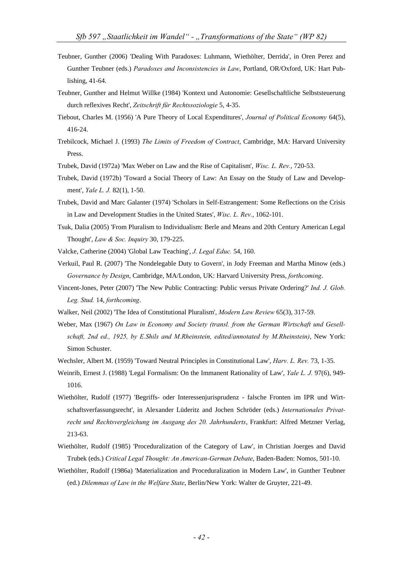- Teubner, Gunther (2006) 'Dealing With Paradoxes: Luhmann, Wiethölter, Derrida', in Oren Perez and Gunther Teubner (eds.) *Paradoxes and Inconsistencies in Law*, Portland, OR/Oxford, UK: Hart Publishing, 41-64.
- Teubner, Gunther and Helmut Willke (1984) 'Kontext und Autonomie: Gesellschaftliche Selbststeuerung durch reflexives Recht', *Zeitschrift für Rechtssoziologie* 5, 4-35.
- Tiebout, Charles M. (1956) 'A Pure Theory of Local Expenditures', *Journal of Political Economy* 64(5), 416-24.
- Trebilcock, Michael J. (1993) *The Limits of Freedom of Contract*, Cambridge, MA: Harvard University Press.
- Trubek, David (1972a) 'Max Weber on Law and the Rise of Capitalism', *Wisc. L. Rev.*, 720-53.
- Trubek, David (1972b) 'Toward a Social Theory of Law: An Essay on the Study of Law and Development', *Yale L. J.* 82(1), 1-50.
- Trubek, David and Marc Galanter (1974) 'Scholars in Self-Estrangement: Some Reflections on the Crisis in Law and Development Studies in the United States', *Wisc. L. Rev.*, 1062-101.
- Tsuk, Dalia (2005) 'From Pluralism to Individualism: Berle and Means and 20th Century American Legal Thought', *Law & Soc. Inquiry* 30, 179-225.
- Valcke, Catherine (2004) 'Global Law Teaching', *J. Legal Educ.* 54, 160.
- Verkuil, Paul R. (2007) 'The Nondelegable Duty to Govern', in Jody Freeman and Martha Minow (eds.) *Governance by Design*, Cambridge, MA/London, UK: Harvard University Press, *forthcoming*.
- Vincent-Jones, Peter (2007) 'The New Public Contracting: Public versus Private Ordering?' *Ind. J. Glob. Leg. Stud.* 14, *forthcoming*.
- Walker, Neil (2002) 'The Idea of Constitutional Pluralism', *Modern Law Review* 65(3), 317-59.
- Weber, Max (1967) *On Law in Economy and Society (transl. from the German Wirtschaft und Gesellschaft, 2nd ed., 1925, by E.Shils and M.Rheinstein, edited/annotated by M.Rheinstein)*, New York: Simon Schuster.
- Wechsler, Albert M. (1959) 'Toward Neutral Principles in Constitutional Law', *Harv. L. Rev.* 73, 1-35.
- Weinrib, Ernest J. (1988) 'Legal Formalism: On the Immanent Rationality of Law', *Yale L. J.* 97(6), 949- 1016.
- Wiethölter, Rudolf (1977) 'Begriffs- oder Interessenjurisprudenz falsche Fronten im IPR und Wirtschaftsverfassungsrecht', in Alexander Lüderitz and Jochen Schröder (eds.) *Internationales Privatrecht und Rechtsvergleichung im Ausgang des 20. Jahrhunderts*, Frankfurt: Alfred Metzner Verlag, 213-63.
- Wiethölter, Rudolf (1985) 'Proceduralization of the Category of Law', in Christian Joerges and David Trubek (eds.) *Critical Legal Thought: An American-German Debate*, Baden-Baden: Nomos, 501-10.
- Wiethölter, Rudolf (1986a) 'Materialization and Proceduralization in Modern Law', in Gunther Teubner (ed.) *Dilemmas of Law in the Welfare State*, Berlin/New York: Walter de Gruyter, 221-49.